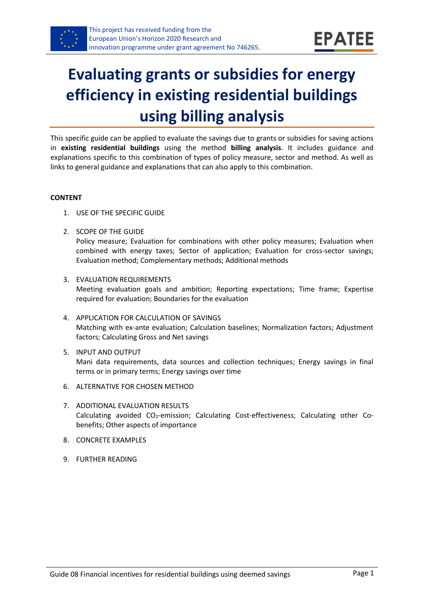

# **Evaluating grants or subsidies for energy efficiency in existing residential buildings using billing analysis**

This specific guide can be applied to evaluate the savings due to grants or subsidies for saving actions in **existing residential buildings** using the method **billing analysis**. It includes guidance and explanations specific to this combination of types of policy measure, sector and method. As well as links to general guidance and explanations that can also apply to this combination.

#### **CONTENT**

- 1. USE OF THE SPECIFIC GUIDE
- <span id="page-0-1"></span>2. SCOPE OF THE GUIDE

Policy measure; Evaluation for combinations with other policy measures; Evaluation when combined with energy taxes; Sector of application; Evaluation for cross-sector savings; Evaluation method; Complementary methods; Additional methods

- <span id="page-0-2"></span>3. EVALUATION REQUIREMENTS Meeting evaluation goals and ambition; Reporting expectations; Time frame; Expertise required for evaluation; Boundaries for the evaluation
- <span id="page-0-3"></span>4. APPLICATION FOR CALCULATION OF SAVINGS Matching with ex-ante evaluation; Calculation baselines; Normalization factors; Adjustment factors; Calculating Gross and Net savings
- <span id="page-0-4"></span>5. INPUT AND OUTPUT Mani data requirements, data sources and collection techniques; Energy savings in final terms or in primary terms; Energy savings over time
- <span id="page-0-0"></span>6. ALTERNATIVE FOR CHOSEN METHOD
- <span id="page-0-5"></span>7. ADDITIONAL EVALUATION RESULTS Calculating avoided CO2-emission; Calculating Cost-effectiveness; Calculating other Cobenefits; Other aspects of importance
- <span id="page-0-6"></span>8. CONCRETE EXAMPLES
- <span id="page-0-7"></span>9. FURTHER READING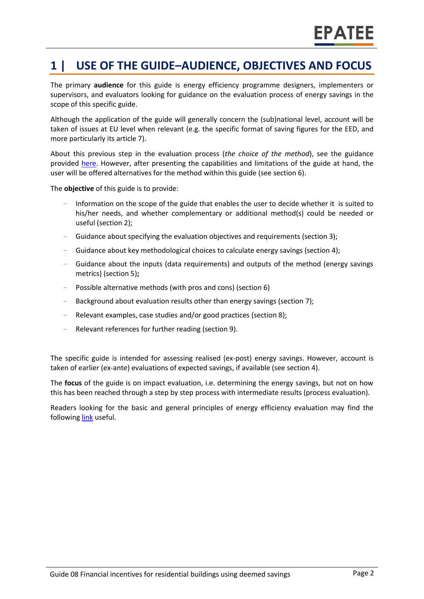### **1 | USE OF THE GUIDE–AUDIENCE, OBJECTIVES AND FOCUS**

The primary **audience** for this guide is energy efficiency programme designers, implementers or supervisors, and evaluators looking for guidance on the evaluation process of energy savings in the scope of this specific guide.

Although the application of the guide will generally concern the (sub)national level, account will be taken of issues at EU level when relevant (e.g. the specific format of saving figures for the EED, and more particularly its article 7).

About this previous step in the evaluation process (*the choice of the method*), see the guidance provided [here.](https://www.epatee-toolbox.eu/wp-content/uploads/2019/04/epatee_integrating_evaluation_into_policy_cycle.pdf) However, after presenting the capabilities and limitations of the guide at hand, the user will be offered alternatives for the method within this guide (see sectio[n 6\)](#page-0-0).

The **objective** of this guide is to provide:

- Information on the scope of the guide that enables the user to decide whether it is suited to his/her needs, and whether complementary or additional method(s) could be needed or useful (section [2\)](#page-0-1);
- Guidance about specifying the evaluation objectives and requirements (section [3\)](#page-0-2);
- Guidance about key methodological choices to calculate energy savings (section [4\)](#page-0-3);
- Guidance about the inputs (data requirements) and outputs of the method (energy savings metrics) (sectio[n 5\)](#page-0-4)**;**
- Possible alternative methods (with pros and cons) (section [6\)](#page-0-0)
- Background about evaluation results other than energy savings (sectio[n 7\)](#page-0-5);
- Relevant examples, case studies and/or good practices (section [8\)](#page-0-6);
- Relevant references for further reading (section [9\)](#page-0-7).

The specific guide is intended for assessing realised (ex-post) energy savings. However, account is taken of earlier (ex-ante) evaluations of expected savings, if available (see sectio[n 4\)](#page-0-3).

The **focus** of the guide is on impact evaluation, i.e. determining the energy savings, but not on how this has been reached through a step by step process with intermediate results (process evaluation).

Readers looking for the basic and general principles of energy efficiency evaluation may find the followin[g link](https://www.epatee-toolbox.eu/evaluation-principles-and-methods/) useful.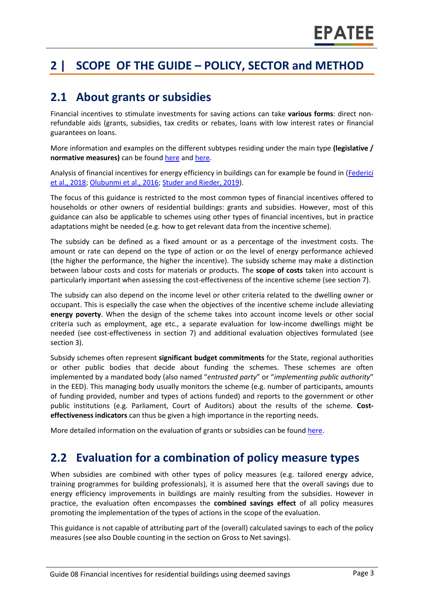# **2 | SCOPE OF THE GUIDE – POLICY, SECTOR and METHOD**

#### **2.1 About grants or subsidies**

Financial incentives to stimulate investments for saving actions can take **various forms**: direct nonrefundable aids (grants, subsidies, tax credits or rebates, loans with low interest rates or financial guarantees on loans.

More information and examples on the different subtypes residing under the main type **(legislative / normative measures)** can be foun[d here](http://www.measures-odyssee-mure.eu/) and [here.](https://www.epatee-lib.eu/)

Analysis of financial incentives for energy efficiency in buildings can for example be found in [\(Federici](http://www.odyssee-mure.eu/publications/policy-brief/increasing-building-energy-efficiency-incentive-schemes.pdf)  [et al., 2018;](http://www.odyssee-mure.eu/publications/policy-brief/increasing-building-energy-efficiency-incentive-schemes.pdf) [Olubunmi et al., 2016;](http://eprints.qut.edu.au/92701/3/92701.pdf) [Studer and Rieder, 2019\)](https://www.mdpi.com/2225-1154/7/2/28/pdf).

The focus of this guidance is restricted to the most common types of financial incentives offered to households or other owners of residential buildings: grants and subsidies. However, most of this guidance can also be applicable to schemes using other types of financial incentives, but in practice adaptations might be needed (e.g. how to get relevant data from the incentive scheme).

The subsidy can be defined as a fixed amount or as a percentage of the investment costs. The amount or rate can depend on the type of action or on the level of energy performance achieved (the higher the performance, the higher the incentive). The subsidy scheme may make a distinction between labour costs and costs for materials or products. The **scope of costs** taken into account is particularly important when assessing the cost-effectiveness of the incentive scheme (see section 7).

The subsidy can also depend on the income level or other criteria related to the dwelling owner or occupant. This is especially the case when the objectives of the incentive scheme include alleviating **energy poverty**. When the design of the scheme takes into account income levels or other social criteria such as employment, age etc., a separate evaluation for low-income dwellings might be needed (see cost-effectiveness in section 7) and additional evaluation objectives formulated (see section 3).

Subsidy schemes often represent **significant budget commitments** for the State, regional authorities or other public bodies that decide about funding the schemes. These schemes are often implemented by a mandated body (also named "*entrusted party*" or "*implementing public authority*" in the EED). This managing body usually monitors the scheme (e.g. number of participants, amounts of funding provided, number and types of actions funded) and reports to the government or other public institutions (e.g. Parliament, Court of Auditors) about the results of the scheme. **Costeffectiveness indicators** can thus be given a high importance in the reporting needs.

More detailed information on the evaluation of grants or subsidies can be found [here.](https://www.epatee-lib.eu/media/docs/EMEEES_WP2_D1_Assessment_existing_evaluation_2008-04-21.pdf)

#### **2.2 Evaluation for a combination of policy measure types**

When subsidies are combined with other types of policy measures (e.g. tailored energy advice, training programmes for building professionals), it is assumed here that the overall savings due to energy efficiency improvements in buildings are mainly resulting from the subsidies. However in practice, the evaluation often encompasses the **combined savings effect** of all policy measures promoting the implementation of the types of actions in the scope of the evaluation.

This guidance is not capable of attributing part of the (overall) calculated savings to each of the policy measures (see also Double counting in the section on Gross to Net savings).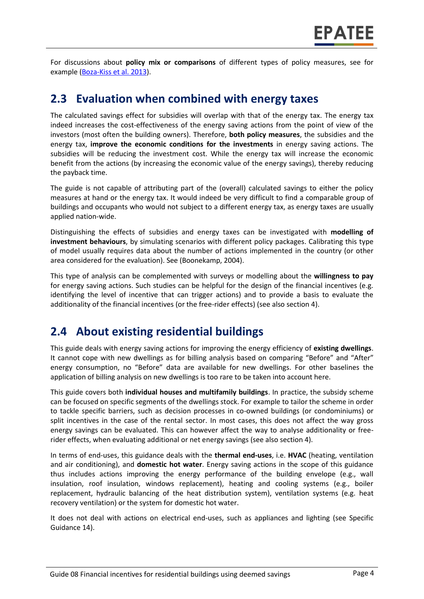For discussions about **policy mix or comparisons** of different types of policy measures, see for example [\(Boza-Kiss et al. 2013\)](https://www.sciencedirect.com/science/article/pii/S1877343513000341).

#### **2.3 Evaluation when combined with energy taxes**

The calculated savings effect for subsidies will overlap with that of the energy tax. The energy tax indeed increases the cost-effectiveness of the energy saving actions from the point of view of the investors (most often the building owners). Therefore, **both policy measures**, the subsidies and the energy tax, **improve the economic conditions for the investments** in energy saving actions. The subsidies will be reducing the investment cost. While the energy tax will increase the economic benefit from the actions (by increasing the economic value of the energy savings), thereby reducing the payback time.

The guide is not capable of attributing part of the (overall) calculated savings to either the policy measures at hand or the energy tax. It would indeed be very difficult to find a comparable group of buildings and occupants who would not subject to a different energy tax, as energy taxes are usually applied nation-wide.

Distinguishing the effects of subsidies and energy taxes can be investigated with **modelling of investment behaviours**, by simulating scenarios with different policy packages. Calibrating this type of model usually requires data about the number of actions implemented in the country (or other area considered for the evaluation). See (Boonekamp, 2004).

This type of analysis can be complemented with surveys or modelling about the **willingness to pay** for energy saving actions. Such studies can be helpful for the design of the financial incentives (e.g. identifying the level of incentive that can trigger actions) and to provide a basis to evaluate the additionality of the financial incentives (or the free-rider effects) (see also section 4).

#### **2.4 About existing residential buildings**

This guide deals with energy saving actions for improving the energy efficiency of **existing dwellings**. It cannot cope with new dwellings as for billing analysis based on comparing "Before" and "After" energy consumption, no "Before" data are available for new dwellings. For other baselines the application of billing analysis on new dwellings is too rare to be taken into account here.

This guide covers both **individual houses and multifamily buildings**. In practice, the subsidy scheme can be focused on specific segments of the dwellings stock. For example to tailor the scheme in order to tackle specific barriers, such as decision processes in co-owned buildings (or condominiums) or split incentives in the case of the rental sector. In most cases, this does not affect the way gross energy savings can be evaluated. This can however affect the way to analyse additionality or freerider effects, when evaluating additional or net energy savings (see also section 4).

In terms of end-uses, this guidance deals with the **thermal end-uses**, i.e. **HVAC** (heating, ventilation and air conditioning), and **domestic hot water**. Energy saving actions in the scope of this guidance thus includes actions improving the energy performance of the building envelope (e.g., wall insulation, roof insulation, windows replacement), heating and cooling systems (e.g., boiler replacement, hydraulic balancing of the heat distribution system), ventilation systems (e.g. heat recovery ventilation) or the system for domestic hot water.

It does not deal with actions on electrical end-uses, such as appliances and lighting (see Specific Guidance 14).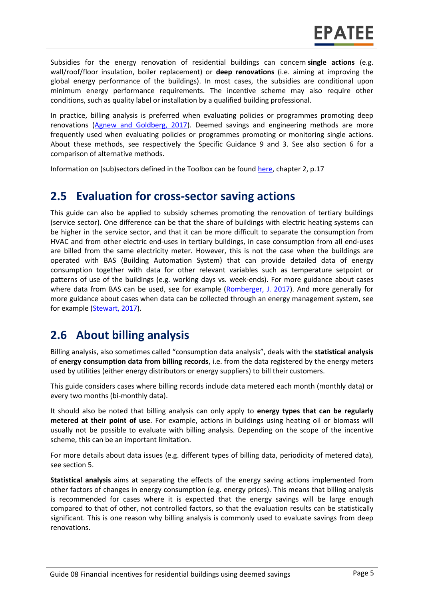Subsidies for the energy renovation of residential buildings can concern **single actions** (e.g. wall/roof/floor insulation, boiler replacement) or **deep renovations** (i.e. aiming at improving the global energy performance of the buildings). In most cases, the subsidies are conditional upon minimum energy performance requirements. The incentive scheme may also require other conditions, such as quality label or installation by a qualified building professional.

In practice, billing analysis is preferred when evaluating policies or programmes promoting deep renovations [\(Agnew and Goldberg, 2017\)](https://www.nrel.gov/docs/fy17osti/68564.pdf). Deemed savings and engineering methods are more frequently used when evaluating policies or programmes promoting or monitoring single actions. About these methods, see respectively the Specific Guidance 9 and 3. See also section 6 for a comparison of alternative methods.

Information on (sub)sectors defined in the Toolbox can be found [here,](https://www.epatee-toolbox.eu/wp-content/uploads/2018/10/Definitions-and-typologies-related-to-energy-savings-evaluation.pdf) chapter 2, p.17

#### **2.5 Evaluation for cross-sector saving actions**

This guide can also be applied to subsidy schemes promoting the renovation of tertiary buildings (service sector). One difference can be that the share of buildings with electric heating systems can be higher in the service sector, and that it can be more difficult to separate the consumption from HVAC and from other electric end-uses in tertiary buildings, in case consumption from all end-uses are billed from the same electricity meter. However, this is not the case when the buildings are operated with BAS (Building Automation System) that can provide detailed data of energy consumption together with data for other relevant variables such as temperature setpoint or patterns of use of the buildings (e.g. working days vs. week-ends). For more guidance about cases where data from BAS can be used, see for example [\(Romberger, J. 2017\)](https://www.nrel.gov/docs/fy17osti/68575.pdf). And more generally for more guidance about cases when data can be collected through an energy management system, see for example [\(Stewart, 2017\)](https://www.nrel.gov/docs/fy17osti/68316.pdf).

#### **2.6 About billing analysis**

Billing analysis, also sometimes called "consumption data analysis", deals with the **statistical analysis** of **energy consumption data from billing records**, i.e. from the data registered by the energy meters used by utilities (either energy distributors or energy suppliers) to bill their customers.

This guide considers cases where billing records include data metered each month (monthly data) or every two months (bi-monthly data).

It should also be noted that billing analysis can only apply to **energy types that can be regularly metered at their point of use**. For example, actions in buildings using heating oil or biomass will usually not be possible to evaluate with billing analysis. Depending on the scope of the incentive scheme, this can be an important limitation.

For more details about data issues (e.g. different types of billing data, periodicity of metered data), see section 5.

**Statistical analysis** aims at separating the effects of the energy saving actions implemented from other factors of changes in energy consumption (e.g. energy prices). This means that billing analysis is recommended for cases where it is expected that the energy savings will be large enough compared to that of other, not controlled factors, so that the evaluation results can be statistically significant. This is one reason why billing analysis is commonly used to evaluate savings from deep renovations.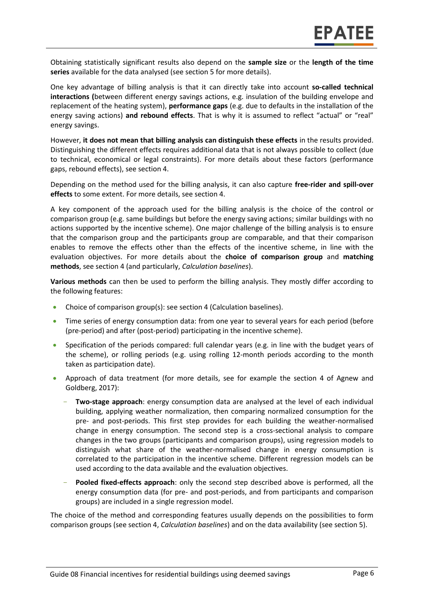Obtaining statistically significant results also depend on the **sample size** or the **length of the time series** available for the data analysed (see section 5 for more details).

One key advantage of billing analysis is that it can directly take into account **so-called technical interactions (**between different energy savings actions, e.g. insulation of the building envelope and replacement of the heating system), **performance gaps** (e.g. due to defaults in the installation of the energy saving actions) **and rebound effects**. That is why it is assumed to reflect "actual" or "real" energy savings.

However, **it does not mean that billing analysis can distinguish these effects** in the results provided. Distinguishing the different effects requires additional data that is not always possible to collect (due to technical, economical or legal constraints). For more details about these factors (performance gaps, rebound effects), see section 4.

Depending on the method used for the billing analysis, it can also capture **free-rider and spill-over effects** to some extent. For more details, see section 4.

A key component of the approach used for the billing analysis is the choice of the control or comparison group (e.g. same buildings but before the energy saving actions; similar buildings with no actions supported by the incentive scheme). One major challenge of the billing analysis is to ensure that the comparison group and the participants group are comparable, and that their comparison enables to remove the effects other than the effects of the incentive scheme, in line with the evaluation objectives. For more details about the **choice of comparison group** and **matching methods**, see section 4 (and particularly, *Calculation baselines*).

**Various methods** can then be used to perform the billing analysis. They mostly differ according to the following features:

- Choice of comparison group(s): see section 4 (Calculation baselines).
- Time series of energy consumption data: from one year to several years for each period (before (pre-period) and after (post-period) participating in the incentive scheme).
- Specification of the periods compared: full calendar years (e.g. in line with the budget years of the scheme), or rolling periods (e.g. using rolling 12-month periods according to the month taken as participation date).
- Approach of data treatment (for more details, see for example the section 4 of Agnew and [Goldberg, 2017\)](https://www.nrel.gov/docs/fy17osti/68564.pdf):
	- **Two-stage approach**: energy consumption data are analysed at the level of each individual building, applying weather normalization, then comparing normalized consumption for the pre- and post-periods. This first step provides for each building the weather-normalised change in energy consumption. The second step is a cross-sectional analysis to compare changes in the two groups (participants and comparison groups), using regression models to distinguish what share of the weather-normalised change in energy consumption is correlated to the participation in the incentive scheme. Different regression models can be used according to the data available and the evaluation objectives.
	- **Pooled fixed-effects approach**: only the second step described above is performed, all the energy consumption data (for pre- and post-periods, and from participants and comparison groups) are included in a single regression model.

The choice of the method and corresponding features usually depends on the possibilities to form comparison groups (see section 4, *Calculation baselines*) and on the data availability (see section 5).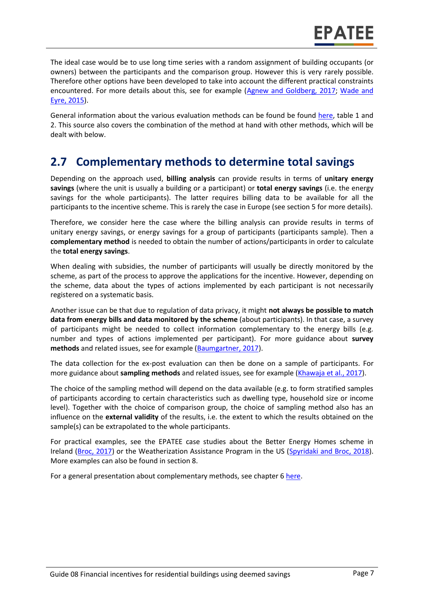The ideal case would be to use long time series with a random assignment of building occupants (or owners) between the participants and the comparison group. However this is very rarely possible. Therefore other options have been developed to take into account the different practical constraints encountered. For more details about this, see for example [\(Agnew and Goldberg, 2017;](https://www.nrel.gov/docs/fy17osti/68564.pdf) Wade and [Eyre, 2015\)](http://www.ukerc.ac.uk/programmes/technology-and-policy-assessment/energy-efficiency-evaluation.html).

General information about the various evaluation methods can be found be found [here,](https://www.epatee-toolbox.eu/wp-content/uploads/2019/04/Saving_calculation_methods_for_EPATEE_Toobox_2019_04_24.pdf) table 1 and 2. This source also covers the combination of the method at hand with other methods, which will be dealt with below.

### **2.7 Complementary methods to determine total savings**

Depending on the approach used, **billing analysis** can provide results in terms of **unitary energy savings** (where the unit is usually a building or a participant) or **total energy savings** (i.e. the energy savings for the whole participants). The latter requires billing data to be available for all the participants to the incentive scheme. This is rarely the case in Europe (see section 5 for more details).

Therefore, we consider here the case where the billing analysis can provide results in terms of unitary energy savings, or energy savings for a group of participants (participants sample). Then a **complementary method** is needed to obtain the number of actions/participants in order to calculate the **total energy savings**.

When dealing with subsidies, the number of participants will usually be directly monitored by the scheme, as part of the process to approve the applications for the incentive. However, depending on the scheme, data about the types of actions implemented by each participant is not necessarily registered on a systematic basis.

Another issue can be that due to regulation of data privacy, it might **not always be possible to match data from energy bills and data monitored by the scheme** (about participants). In that case, a survey of participants might be needed to collect information complementary to the energy bills (e.g. number and types of actions implemented per participant). For more guidance about **survey methods** and related issues, see for example [\(Baumgartner, 2017\)](http://www.nrel.gov/docs/fy17osti/68568.pdf).

The data collection for the ex-post evaluation can then be done on a sample of participants. For more guidance about **sampling methods** and related issues, see for example [\(Khawaja et al., 2017\)](https://www.nrel.gov/docs/fy17osti/68567.pdf).

The choice of the sampling method will depend on the data available (e.g. to form stratified samples of participants according to certain characteristics such as dwelling type, household size or income level). Together with the choice of comparison group, the choice of sampling method also has an influence on the **external validity** of the results, i.e. the extent to which the results obtained on the sample(s) can be extrapolated to the whole participants.

For practical examples, see the EPATEE case studies about the Better Energy Homes scheme in Ireland [\(Broc, 2017\)](https://www.epatee-toolbox.eu/wp-content/uploads/2018/10/epatee_case_study_ireland_better_energy_homes_ok.pdf) or the Weatherization Assistance Program in the US [\(Spyridaki and Broc, 2018\)](https://www.epatee-toolbox.eu/wp-content/uploads/2018/10/epatee_case_study_us_weatherization_assistance_program_ok.pdf). More examples can also be found in section 8.

For a general presentation about complementary methods, see chapter [6 here.](https://www.epatee-toolbox.eu/wp-content/uploads/2019/04/Saving_calculation_methods_for_EPATEE_Toobox_2019_04_24.pdf)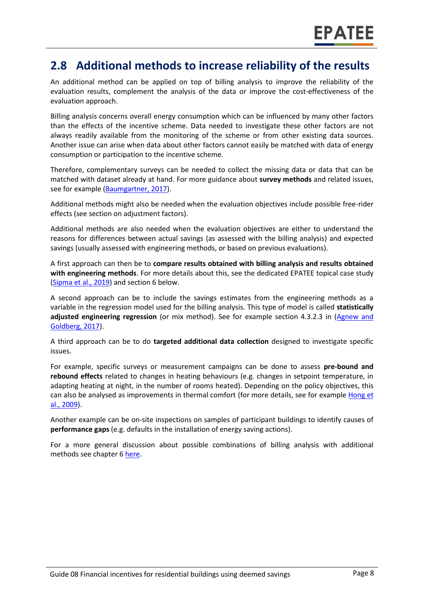#### **2.8 Additional methods to increase reliability of the results**

An additional method can be applied on top of billing analysis to improve the reliability of the evaluation results, complement the analysis of the data or improve the cost-effectiveness of the evaluation approach.

Billing analysis concerns overall energy consumption which can be influenced by many other factors than the effects of the incentive scheme. Data needed to investigate these other factors are not always readily available from the monitoring of the scheme or from other existing data sources. Another issue can arise when data about other factors cannot easily be matched with data of energy consumption or participation to the incentive scheme.

Therefore, complementary surveys can be needed to collect the missing data or data that can be matched with dataset already at hand. For more guidance about **survey methods** and related issues, see for example [\(Baumgartner, 2017\)](http://www.nrel.gov/docs/fy17osti/68568.pdf).

Additional methods might also be needed when the evaluation objectives include possible free-rider effects (see section on adjustment factors).

Additional methods are also needed when the evaluation objectives are either to understand the reasons for differences between actual savings (as assessed with the billing analysis) and expected savings (usually assessed with engineering methods, or based on previous evaluations).

A first approach can then be to **compare results obtained with billing analysis and results obtained with engineering methods**. For more details about this, see the dedicated EPATEE topical case study [\(Sipma et al., 2019\)](https://www.epatee-toolbox.eu/evaluation-principles-and-methods/epatee-topical-case-study-comparing-estimated-versus-measured-energy-savings/) and section 6 below.

A second approach can be to include the savings estimates from the engineering methods as a variable in the regression model used for the billing analysis. This type of model is called **statistically adjusted engineering regression** (or mix method). See for example section 4.3.2.3 in (Agnew and [Goldberg, 2017\)](https://www.nrel.gov/docs/fy17osti/68564.pdf).

A third approach can be to do **targeted additional data collection** designed to investigate specific issues.

For example, specific surveys or measurement campaigns can be done to assess **pre-bound and rebound effects** related to changes in heating behaviours (e.g. changes in setpoint temperature, in adapting heating at night, in the number of rooms heated). Depending on the policy objectives, this can also be analysed as improvements in thermal comfort (for more details, see for example Hong et [al., 2009\)](http://discovery.ucl.ac.uk/15210/1/15210.pdf).

Another example can be on-site inspections on samples of participant buildings to identify causes of **performance gaps** (e.g. defaults in the installation of energy saving actions).

For a more general discussion about possible combinations of billing analysis with additional methods see chapter 6 [here.](https://www.epatee-toolbox.eu/wp-content/uploads/2019/04/Saving_calculation_methods_for_EPATEE_Toobox_2019_04_24.pdf)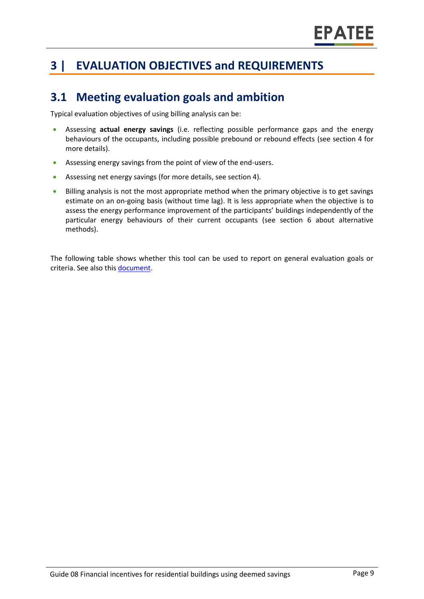# **3 | EVALUATION OBJECTIVES and REQUIREMENTS**

### **3.1 Meeting evaluation goals and ambition**

Typical evaluation objectives of using billing analysis can be:

- Assessing **actual energy savings** (i.e. reflecting possible performance gaps and the energy behaviours of the occupants, including possible prebound or rebound effects (see section 4 for more details).
- Assessing energy savings from the point of view of the end-users.
- Assessing net energy savings (for more details, see section 4).
- Billing analysis is not the most appropriate method when the primary objective is to get savings estimate on an on-going basis (without time lag). It is less appropriate when the objective is to assess the energy performance improvement of the participants' buildings independently of the particular energy behaviours of their current occupants (see section 6 about alternative methods).

The following table shows whether this tool can be used to report on general evaluation goals or criteria. See also thi[s document.](https://www.epatee-lib.eu/media/docs/D4_EMEEES_Final.pdf)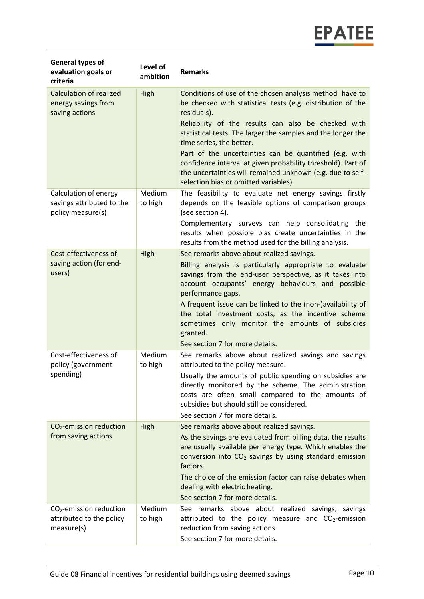| <b>General types of</b><br>evaluation goals or<br>criteria              | Level of<br>ambition | <b>Remarks</b>                                                                                                                                                                                                                                                                                                                                                                                                                                                                                                            |
|-------------------------------------------------------------------------|----------------------|---------------------------------------------------------------------------------------------------------------------------------------------------------------------------------------------------------------------------------------------------------------------------------------------------------------------------------------------------------------------------------------------------------------------------------------------------------------------------------------------------------------------------|
| <b>Calculation of realized</b><br>energy savings from<br>saving actions | High                 | Conditions of use of the chosen analysis method have to<br>be checked with statistical tests (e.g. distribution of the<br>residuals).<br>Reliability of the results can also be checked with<br>statistical tests. The larger the samples and the longer the<br>time series, the better.<br>Part of the uncertainties can be quantified (e.g. with<br>confidence interval at given probability threshold). Part of<br>the uncertainties will remained unknown (e.g. due to self-<br>selection bias or omitted variables). |
| Calculation of energy<br>savings attributed to the<br>policy measure(s) | Medium<br>to high    | The feasibility to evaluate net energy savings firstly<br>depends on the feasible options of comparison groups<br>(see section 4).<br>Complementary surveys can help consolidating the<br>results when possible bias create uncertainties in the<br>results from the method used for the billing analysis.                                                                                                                                                                                                                |
| Cost-effectiveness of<br>saving action (for end-<br>users)              | High                 | See remarks above about realized savings.<br>Billing analysis is particularly appropriate to evaluate<br>savings from the end-user perspective, as it takes into<br>account occupants' energy behaviours and possible<br>performance gaps.<br>A frequent issue can be linked to the (non-)availability of<br>the total investment costs, as the incentive scheme<br>sometimes only monitor the amounts of subsidies<br>granted.<br>See section 7 for more details.                                                        |
| Cost-effectiveness of<br>policy (government<br>spending)                | Medium<br>to high    | See remarks above about realized savings and savings<br>attributed to the policy measure.<br>Usually the amounts of public spending on subsidies are<br>directly monitored by the scheme. The administration<br>costs are often small compared to the amounts of<br>subsidies but should still be considered.<br>See section 7 for more details.                                                                                                                                                                          |
| $CO2$ -emission reduction<br>from saving actions                        | High                 | See remarks above about realized savings.<br>As the savings are evaluated from billing data, the results<br>are usually available per energy type. Which enables the<br>conversion into CO <sub>2</sub> savings by using standard emission<br>factors.<br>The choice of the emission factor can raise debates when<br>dealing with electric heating.<br>See section 7 for more details.                                                                                                                                   |
| $CO2$ -emission reduction<br>attributed to the policy<br>measure(s)     | Medium<br>to high    | See remarks above about realized savings, savings<br>attributed to the policy measure and CO <sub>2</sub> -emission<br>reduction from saving actions.<br>See section 7 for more details.                                                                                                                                                                                                                                                                                                                                  |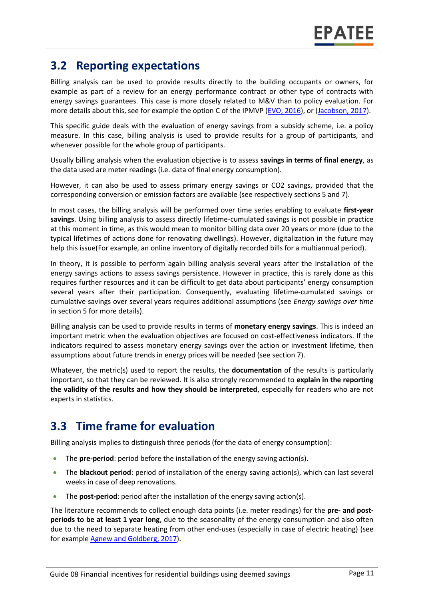### **3.2 Reporting expectations**

Billing analysis can be used to provide results directly to the building occupants or owners, for example as part of a review for an energy performance contract or other type of contracts with energy savings guarantees. This case is more closely related to M&V than to policy evaluation. For more details about this, see for example the option C of the IPMVP [\(EVO, 2016\)](https://evo-world.org/en/products-services-mainmenu-en/protocols/ipmvp), or [\(Jacobson, 2017\)](https://www.nrel.gov/docs/fy17osti/68561.pdf).

This specific guide deals with the evaluation of energy savings from a subsidy scheme, i.e. a policy measure. In this case, billing analysis is used to provide results for a group of participants, and whenever possible for the whole group of participants.

Usually billing analysis when the evaluation objective is to assess **savings in terms of final energy**, as the data used are meter readings (i.e. data of final energy consumption).

However, it can also be used to assess primary energy savings or CO2 savings, provided that the corresponding conversion or emission factors are available (see respectively sections 5 and 7).

In most cases, the billing analysis will be performed over time series enabling to evaluate **first-year savings**. Using billing analysis to assess directly lifetime-cumulated savings is not possible in practice at this moment in time, as this would mean to monitor billing data over 20 years or more (due to the typical lifetimes of actions done for renovating dwellings). However, digitalization in the future may help this issue(For example, an online inventory of digitally recorded bills for a multiannual period).

In theory, it is possible to perform again billing analysis several years after the installation of the energy savings actions to assess savings persistence. However in practice, this is rarely done as this requires further resources and it can be difficult to get data about participants' energy consumption several years after their participation. Consequently, evaluating lifetime-cumulated savings or cumulative savings over several years requires additional assumptions (see *Energy savings over time* in section 5 for more details).

Billing analysis can be used to provide results in terms of **monetary energy savings**. This is indeed an important metric when the evaluation objectives are focused on cost-effectiveness indicators. If the indicators required to assess monetary energy savings over the action or investment lifetime, then assumptions about future trends in energy prices will be needed (see section 7).

Whatever, the metric(s) used to report the results, the **documentation** of the results is particularly important, so that they can be reviewed. It is also strongly recommended to **explain in the reporting the validity of the results and how they should be interpreted**, especially for readers who are not experts in statistics.

#### **3.3 Time frame for evaluation**

Billing analysis implies to distinguish three periods (for the data of energy consumption):

- The **pre-period**: period before the installation of the energy saving action(s).
- The **blackout period**: period of installation of the energy saving action(s), which can last several weeks in case of deep renovations.
- The **post-period**: period after the installation of the energy saving action(s).

The literature recommends to collect enough data points (i.e. meter readings) for the **pre- and postperiods to be at least 1 year long**, due to the seasonality of the energy consumption and also often due to the need to separate heating from other end-uses (especially in case of electric heating) (see for example [Agnew and Goldberg, 2017\)](https://www.nrel.gov/docs/fy17osti/68564.pdf).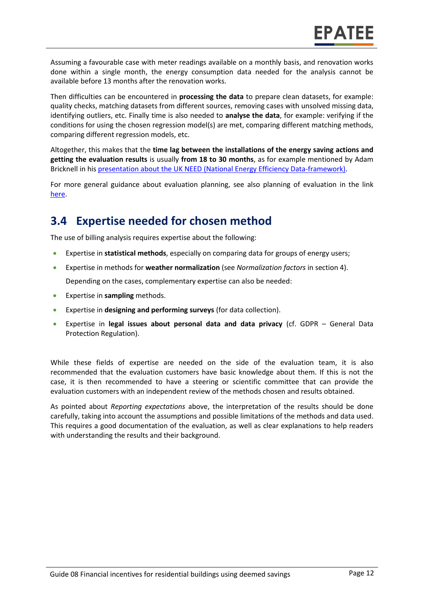Assuming a favourable case with meter readings available on a monthly basis, and renovation works done within a single month, the energy consumption data needed for the analysis cannot be available before 13 months after the renovation works.

Then difficulties can be encountered in **processing the data** to prepare clean datasets, for example: quality checks, matching datasets from different sources, removing cases with unsolved missing data, identifying outliers, etc. Finally time is also needed to **analyse the data**, for example: verifying if the conditions for using the chosen regression model(s) are met, comparing different matching methods, comparing different regression models, etc.

Altogether, this makes that the **time lag between the installations of the energy saving actions and getting the evaluation results** is usually **from 18 to 30 months**, as for example mentioned by Adam Bricknell in hi[s presentation about the UK NEED \(National Energy Efficiency Data-framework\).](https://epatee.eu/system/tdf/07_epatee_uk_national_energy_efficiency_data-framework.pdf?file=1&type=node&id=48&force=1)

For more general guidance about evaluation planning, see also planning of evaluation in the link [here.](https://www.epatee-toolbox.eu/wp-content/uploads/2019/04/epatee_integrating_evaluation_into_policy_cycle.pdf)

### **3.4 Expertise needed for chosen method**

The use of billing analysis requires expertise about the following:

- Expertise in **statistical methods**, especially on comparing data for groups of energy users;
- Expertise in methods for **weather normalization** (see *Normalization factors* in section 4). Depending on the cases, complementary expertise can also be needed:
- Expertise in **sampling** methods.
- Expertise in **designing and performing surveys** (for data collection).
- Expertise in **legal issues about personal data and data privacy** (cf. GDPR General Data Protection Regulation).

While these fields of expertise are needed on the side of the evaluation team, it is also recommended that the evaluation customers have basic knowledge about them. If this is not the case, it is then recommended to have a steering or scientific committee that can provide the evaluation customers with an independent review of the methods chosen and results obtained.

As pointed about *Reporting expectations* above, the interpretation of the results should be done carefully, taking into account the assumptions and possible limitations of the methods and data used. This requires a good documentation of the evaluation, as well as clear explanations to help readers with understanding the results and their background.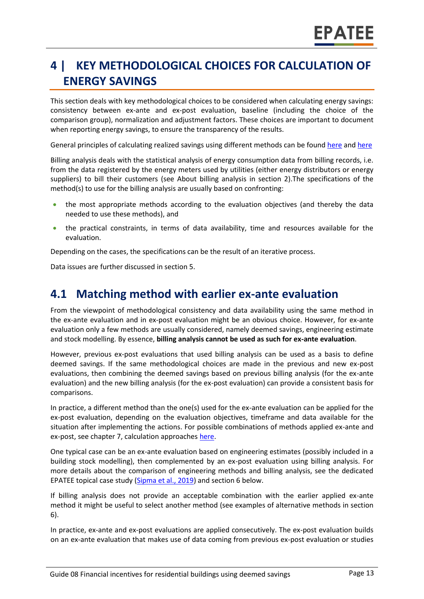# **4 | KEY METHODOLOGICAL CHOICES FOR CALCULATION OF ENERGY SAVINGS**

This section deals with key methodological choices to be considered when calculating energy savings: consistency between ex-ante and ex-post evaluation, baseline (including the choice of the comparison group), normalization and adjustment factors. These choices are important to document when reporting energy savings, to ensure the transparency of the results.

General principles of calculating realized savings using different methods can be foun[d here](https://www.epatee-lib.eu/media/docs/D4_EMEEES_Final.pdf) and [here](https://www.epatee-lib.eu/media/docs/EMEEES_WP3_Report_Final.pdf)

Billing analysis deals with the statistical analysis of energy consumption data from billing records, i.e. from the data registered by the energy meters used by utilities (either energy distributors or energy suppliers) to bill their customers (see About billing analysis in section 2).The specifications of the method(s) to use for the billing analysis are usually based on confronting:

- the most appropriate methods according to the evaluation objectives (and thereby the data needed to use these methods), and
- the practical constraints, in terms of data availability, time and resources available for the evaluation.

Depending on the cases, the specifications can be the result of an iterative process.

Data issues are further discussed in section 5.

#### **4.1 Matching method with earlier ex-ante evaluation**

From the viewpoint of methodological consistency and data availability using the same method in the ex-ante evaluation and in ex-post evaluation might be an obvious choice. However, for ex-ante evaluation only a few methods are usually considered, namely deemed savings, engineering estimate and stock modelling. By essence, **billing analysis cannot be used as such for ex-ante evaluation**.

However, previous ex-post evaluations that used billing analysis can be used as a basis to define deemed savings. If the same methodological choices are made in the previous and new ex-post evaluations, then combining the deemed savings based on previous billing analysis (for the ex-ante evaluation) and the new billing analysis (for the ex-post evaluation) can provide a consistent basis for comparisons.

In practice, a different method than the one(s) used for the ex-ante evaluation can be applied for the ex-post evaluation, depending on the evaluation objectives, timeframe and data available for the situation after implementing the actions. For possible combinations of methods applied ex-ante and ex-post, see chapter 7, calculation approaches [here.](https://www.epatee-toolbox.eu/evaluation-principles-and-methods/general-principles/saving-calculation-methods-and-their-application-in-the-epatee-toolbox/)

One typical case can be an ex-ante evaluation based on engineering estimates (possibly included in a building stock modelling), then complemented by an ex-post evaluation using billing analysis. For more details about the comparison of engineering methods and billing analysis, see the dedicated EPATEE topical case study [\(Sipma et al., 2019\)](https://www.epatee-toolbox.eu/evaluation-principles-and-methods/epatee-topical-case-study-comparing-estimated-versus-measured-energy-savings/) and section 6 below.

If billing analysis does not provide an acceptable combination with the earlier applied ex-ante method it might be useful to select another method (see examples of alternative methods in section [6\)](#page-0-0).

In practice, ex-ante and ex-post evaluations are applied consecutively. The ex-post evaluation builds on an ex-ante evaluation that makes use of data coming from previous ex-post evaluation or studies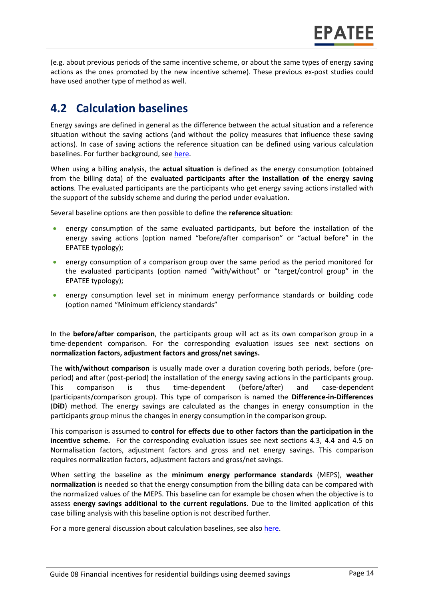(e.g. about previous periods of the same incentive scheme, or about the same types of energy saving actions as the ones promoted by the new incentive scheme). These previous ex-post studies could have used another type of method as well.

### **4.2 Calculation baselines**

Energy savings are defined in general as the difference between the actual situation and a reference situation without the saving actions (and without the policy measures that influence these saving actions). In case of saving actions the reference situation can be defined using various calculation baselines. For further background, see [here.](https://www.epatee-toolbox.eu/wp-content/uploads/2019/04/Application_of_KB_savings_baselines_and_correction_factors_in_the_Toolbox_and_PSMCs_190418_.pdf)

When using a billing analysis, the **actual situation** is defined as the energy consumption (obtained from the billing data) of the **evaluated participants after the installation of the energy saving actions**. The evaluated participants are the participants who get energy saving actions installed with the support of the subsidy scheme and during the period under evaluation.

Several baseline options are then possible to define the **reference situation**:

- energy consumption of the same evaluated participants, but before the installation of the energy saving actions (option named "before/after comparison" or "actual before" in the EPATEE typology);
- energy consumption of a comparison group over the same period as the period monitored for the evaluated participants (option named "with/without" or "target/control group" in the EPATEE typology);
- energy consumption level set in minimum energy performance standards or building code (option named "Minimum efficiency standards"

In the **before/after comparison**, the participants group will act as its own comparison group in a time-dependent comparison. For the corresponding evaluation issues see next sections on **normalization factors, adjustment factors and gross/net savings.**

The **with/without comparison** is usually made over a duration covering both periods, before (preperiod) and after (post-period) the installation of the energy saving actions in the participants group. This comparison is thus time-dependent (before/after) and case-dependent (participants/comparison group). This type of comparison is named the **Difference-in-Differences** (**DiD**) method. The energy savings are calculated as the changes in energy consumption in the participants group minus the changes in energy consumption in the comparison group.

This comparison is assumed to **control for effects due to other factors than the participation in the incentive scheme.** For the corresponding evaluation issues see next sections 4.3, 4.4 and 4.5 on Normalisation factors, adjustment factors and gross and net energy savings. This comparison requires normalization factors, adjustment factors and gross/net savings.

When setting the baseline as the **minimum energy performance standards** (MEPS), **weather normalization** is needed so that the energy consumption from the billing data can be compared with the normalized values of the MEPS. This baseline can for example be chosen when the objective is to assess **energy savings additional to the current regulations**. Due to the limited application of this case billing analysis with this baseline option is not described further.

For a more general discussion about calculation baselines, see also [here.](https://www.epatee-toolbox.eu/wp-content/uploads/2019/04/Application_of_KB_savings_baselines_and_correction_factors_in_the_Toolbox_and_PSMCs_190418_.pdf)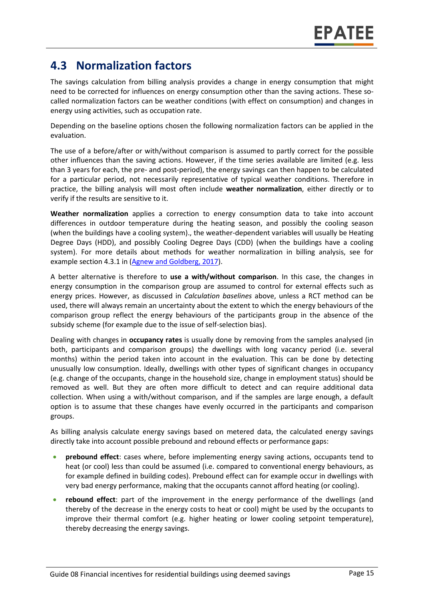### **4.3 Normalization factors**

The savings calculation from billing analysis provides a change in energy consumption that might need to be corrected for influences on energy consumption other than the saving actions. These socalled normalization factors can be weather conditions (with effect on consumption) and changes in energy using activities, such as occupation rate.

Depending on the baseline options chosen the following normalization factors can be applied in the evaluation.

The use of a before/after or with/without comparison is assumed to partly correct for the possible other influences than the saving actions. However, if the time series available are limited (e.g. less than 3 years for each, the pre- and post-period), the energy savings can then happen to be calculated for a particular period, not necessarily representative of typical weather conditions. Therefore in practice, the billing analysis will most often include **weather normalization**, either directly or to verify if the results are sensitive to it.

**Weather normalization** applies a correction to energy consumption data to take into account differences in outdoor temperature during the heating season, and possibly the cooling season (when the buildings have a cooling system)., the weather-dependent variables will usually be Heating Degree Days (HDD), and possibly Cooling Degree Days (CDD) (when the buildings have a cooling system). For more details about methods for weather normalization in billing analysis, see for example section 4.3.1 in [\(Agnew and Goldberg, 2017\)](https://www.nrel.gov/docs/fy17osti/68564.pdf).

A better alternative is therefore to **use a with/without comparison**. In this case, the changes in energy consumption in the comparison group are assumed to control for external effects such as energy prices. However, as discussed in *Calculation baselines* above, unless a RCT method can be used, there will always remain an uncertainty about the extent to which the energy behaviours of the comparison group reflect the energy behaviours of the participants group in the absence of the subsidy scheme (for example due to the issue of self-selection bias).

Dealing with changes in **occupancy rates** is usually done by removing from the samples analysed (in both, participants and comparison groups) the dwellings with long vacancy period (i.e. several months) within the period taken into account in the evaluation. This can be done by detecting unusually low consumption. Ideally, dwellings with other types of significant changes in occupancy (e.g. change of the occupants, change in the household size, change in employment status) should be removed as well. But they are often more difficult to detect and can require additional data collection. When using a with/without comparison, and if the samples are large enough, a default option is to assume that these changes have evenly occurred in the participants and comparison groups.

As billing analysis calculate energy savings based on metered data, the calculated energy savings directly take into account possible prebound and rebound effects or performance gaps:

- **prebound effect**: cases where, before implementing energy saving actions, occupants tend to heat (or cool) less than could be assumed (i.e. compared to conventional energy behaviours, as for example defined in building codes). Prebound effect can for example occur in dwellings with very bad energy performance, making that the occupants cannot afford heating (or cooling).
- **rebound effect**: part of the improvement in the energy performance of the dwellings (and thereby of the decrease in the energy costs to heat or cool) might be used by the occupants to improve their thermal comfort (e.g. higher heating or lower cooling setpoint temperature), thereby decreasing the energy savings.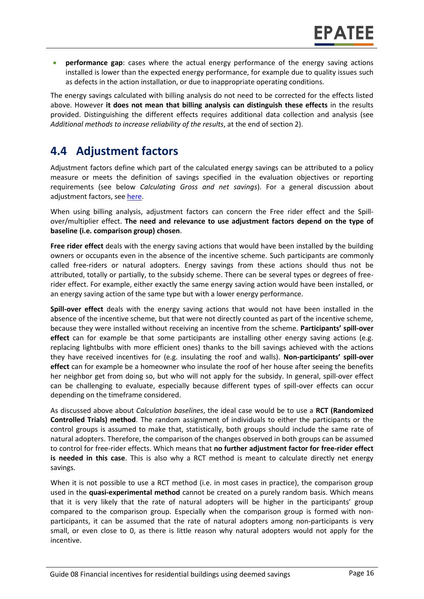• **performance gap**: cases where the actual energy performance of the energy saving actions installed is lower than the expected energy performance, for example due to quality issues such as defects in the action installation, or due to inappropriate operating conditions.

The energy savings calculated with billing analysis do not need to be corrected for the effects listed above. However **it does not mean that billing analysis can distinguish these effects** in the results provided. Distinguishing the different effects requires additional data collection and analysis (see *Additional methods to increase reliability of the results*, at the end of section 2).

#### **4.4 Adjustment factors**

Adjustment factors define which part of the calculated energy savings can be attributed to a policy measure or meets the definition of savings specified in the evaluation objectives or reporting requirements (see below *Calculating Gross and net savings*). For a general discussion about adjustment factors, se[e here.](https://www.epatee-toolbox.eu/evaluation-principles-and-methods/general-principles/saving-calculation-methods-and-their-application-in-the-epatee-toolbox/)

When using billing analysis, adjustment factors can concern the Free rider effect and the Spillover/multiplier effect. **The need and relevance to use adjustment factors depend on the type of baseline (i.e. comparison group) chosen**.

**Free rider effect** deals with the energy saving actions that would have been installed by the building owners or occupants even in the absence of the incentive scheme. Such participants are commonly called free-riders or natural adopters. Energy savings from these actions should thus not be attributed, totally or partially, to the subsidy scheme. There can be several types or degrees of freerider effect. For example, either exactly the same energy saving action would have been installed, or an energy saving action of the same type but with a lower energy performance.

**Spill-over effect** deals with the energy saving actions that would not have been installed in the absence of the incentive scheme, but that were not directly counted as part of the incentive scheme, because they were installed without receiving an incentive from the scheme. **Participants' spill-over effect** can for example be that some participants are installing other energy saving actions (e.g. replacing lightbulbs with more efficient ones) thanks to the bill savings achieved with the actions they have received incentives for (e.g. insulating the roof and walls). **Non-participants' spill-over effect** can for example be a homeowner who insulate the roof of her house after seeing the benefits her neighbor get from doing so, but who will not apply for the subsidy. In general, spill-over effect can be challenging to evaluate, especially because different types of spill-over effects can occur depending on the timeframe considered.

As discussed above about *Calculation baselines*, the ideal case would be to use a **RCT (Randomized Controlled Trials) method**. The random assignment of individuals to either the participants or the control groups is assumed to make that, statistically, both groups should include the same rate of natural adopters. Therefore, the comparison of the changes observed in both groups can be assumed to control for free-rider effects. Which means that **no further adjustment factor for free-rider effect is needed in this case**. This is also why a RCT method is meant to calculate directly net energy savings.

When it is not possible to use a RCT method (i.e. in most cases in practice), the comparison group used in the **quasi-experimental method** cannot be created on a purely random basis. Which means that it is very likely that the rate of natural adopters will be higher in the participants' group compared to the comparison group. Especially when the comparison group is formed with nonparticipants, it can be assumed that the rate of natural adopters among non-participants is very small, or even close to 0, as there is little reason why natural adopters would not apply for the incentive.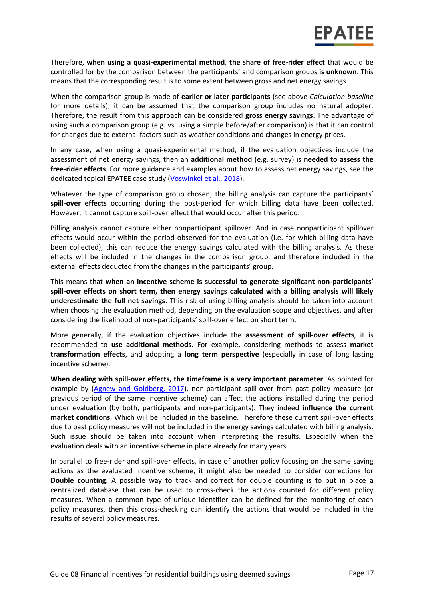Therefore, **when using a quasi-experimental method**, **the share of free-rider effect** that would be controlled for by the comparison between the participants' and comparison groups **is unknown**. This means that the corresponding result is to some extent between gross and net energy savings.

When the comparison group is made of **earlier or later participants** (see above *Calculation baseline* for more details), it can be assumed that the comparison group includes no natural adopter. Therefore, the result from this approach can be considered **gross energy savings**. The advantage of using such a comparison group (e.g. vs. using a simple before/after comparison) is that it can control for changes due to external factors such as weather conditions and changes in energy prices.

In any case, when using a quasi-experimental method, if the evaluation objectives include the assessment of net energy savings, then an **additional method** (e.g. survey) is **needed to assess the free-rider effects**. For more guidance and examples about how to assess net energy savings, see the dedicated topical EPATEE case study [\(Voswinkel et al., 2018\)](https://www.epatee-toolbox.eu/?page_id=416).

Whatever the type of comparison group chosen, the billing analysis can capture the participants' **spill-over effects** occurring during the post-period for which billing data have been collected. However, it cannot capture spill-over effect that would occur after this period.

Billing analysis cannot capture either nonparticipant spillover. And in case nonparticipant spillover effects would occur within the period observed for the evaluation (i.e. for which billing data have been collected), this can reduce the energy savings calculated with the billing analysis. As these effects will be included in the changes in the comparison group, and therefore included in the external effects deducted from the changes in the participants' group.

This means that **when an incentive scheme is successful to generate significant non-participants' spill-over effects on short term, then energy savings calculated with a billing analysis will likely underestimate the full net savings**. This risk of using billing analysis should be taken into account when choosing the evaluation method, depending on the evaluation scope and objectives, and after considering the likelihood of non-participants' spill-over effect on short term.

More generally, if the evaluation objectives include the **assessment of spill-over effects**, it is recommended to **use additional methods**. For example, considering methods to assess **market transformation effects**, and adopting a **long term perspective** (especially in case of long lasting incentive scheme).

**When dealing with spill-over effects, the timeframe is a very important parameter**. As pointed for example by [\(Agnew and Goldberg, 2017\)](https://www.nrel.gov/docs/fy17osti/68564.pdf), non-participant spill-over from past policy measure (or previous period of the same incentive scheme) can affect the actions installed during the period under evaluation (by both, participants and non-participants). They indeed **influence the current market conditions**. Which will be included in the baseline. Therefore these current spill-over effects due to past policy measures will not be included in the energy savings calculated with billing analysis. Such issue should be taken into account when interpreting the results. Especially when the evaluation deals with an incentive scheme in place already for many years.

In parallel to free-rider and spill-over effects, in case of another policy focusing on the same saving actions as the evaluated incentive scheme, it might also be needed to consider corrections for **Double counting**. A possible way to track and correct for double counting is to put in place a centralized database that can be used to cross-check the actions counted for different policy measures. When a common type of unique identifier can be defined for the monitoring of each policy measures, then this cross-checking can identify the actions that would be included in the results of several policy measures.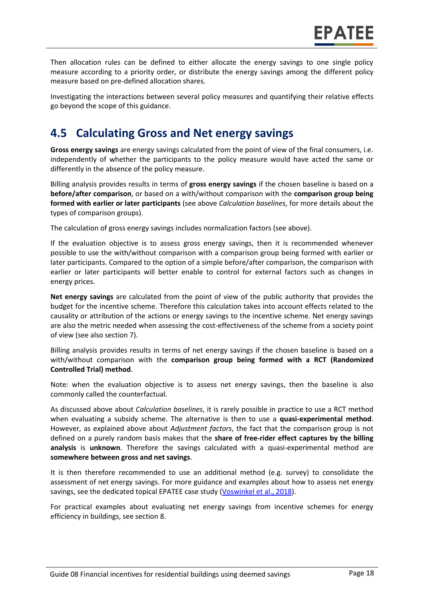Then allocation rules can be defined to either allocate the energy savings to one single policy measure according to a priority order, or distribute the energy savings among the different policy measure based on pre-defined allocation shares.

Investigating the interactions between several policy measures and quantifying their relative effects go beyond the scope of this guidance.

### **4.5 Calculating Gross and Net energy savings**

**Gross energy savings** are energy savings calculated from the point of view of the final consumers, i.e. independently of whether the participants to the policy measure would have acted the same or differently in the absence of the policy measure.

Billing analysis provides results in terms of **gross energy savings** if the chosen baseline is based on a **before/after comparison**, or based on a with/without comparison with the **comparison group being formed with earlier or later participants** (see above *Calculation baselines*, for more details about the types of comparison groups).

The calculation of gross energy savings includes normalization factors (see above).

If the evaluation objective is to assess gross energy savings, then it is recommended whenever possible to use the with/without comparison with a comparison group being formed with earlier or later participants. Compared to the option of a simple before/after comparison, the comparison with earlier or later participants will better enable to control for external factors such as changes in energy prices.

**Net energy savings** are calculated from the point of view of the public authority that provides the budget for the incentive scheme. Therefore this calculation takes into account effects related to the causality or attribution of the actions or energy savings to the incentive scheme. Net energy savings are also the metric needed when assessing the cost-effectiveness of the scheme from a society point of view (see also section 7).

Billing analysis provides results in terms of net energy savings if the chosen baseline is based on a with/without comparison with the **comparison group being formed with a RCT (Randomized Controlled Trial) method**.

Note: when the evaluation objective is to assess net energy savings, then the baseline is also commonly called the counterfactual.

As discussed above about *Calculation baselines*, it is rarely possible in practice to use a RCT method when evaluating a subsidy scheme. The alternative is then to use a **quasi-experimental method**. However, as explained above about *Adjustment factors*, the fact that the comparison group is not defined on a purely random basis makes that the **share of free-rider effect captures by the billing analysis** is **unknown**. Therefore the savings calculated with a quasi-experimental method are **somewhere between gross and net savings**.

It is then therefore recommended to use an additional method (e.g. survey) to consolidate the assessment of net energy savings. For more guidance and examples about how to assess net energy savings, see the dedicated topical EPATEE case study [\(Voswinkel et al., 2018\)](https://www.epatee-toolbox.eu/?page_id=416).

For practical examples about evaluating net energy savings from incentive schemes for energy efficiency in buildings, see section 8.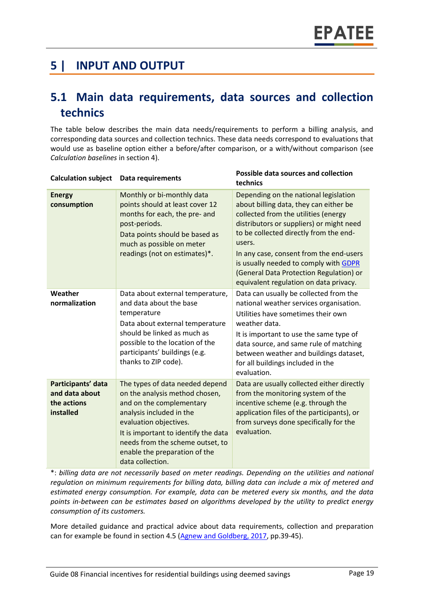### **5 | INPUT AND OUTPUT**

### **5.1 Main data requirements, data sources and collection technics**

The table below describes the main data needs/requirements to perform a billing analysis, and corresponding data sources and collection technics. These data needs correspond to evaluations that would use as baseline option either a before/after comparison, or a with/without comparison (see *Calculation baselines* in section 4).

| <b>Calculation subject</b>                                       | <b>Data requirements</b>                                                                                                                                                                                                                                                             | Possible data sources and collection<br>technics                                                                                                                                                                                                                                                                                                                                                 |
|------------------------------------------------------------------|--------------------------------------------------------------------------------------------------------------------------------------------------------------------------------------------------------------------------------------------------------------------------------------|--------------------------------------------------------------------------------------------------------------------------------------------------------------------------------------------------------------------------------------------------------------------------------------------------------------------------------------------------------------------------------------------------|
| <b>Energy</b><br>consumption                                     | Monthly or bi-monthly data<br>points should at least cover 12<br>months for each, the pre- and<br>post-periods.<br>Data points should be based as<br>much as possible on meter<br>readings (not on estimates)*.                                                                      | Depending on the national legislation<br>about billing data, they can either be<br>collected from the utilities (energy<br>distributors or suppliers) or might need<br>to be collected directly from the end-<br>users.<br>In any case, consent from the end-users<br>is usually needed to comply with GDPR<br>(General Data Protection Regulation) or<br>equivalent regulation on data privacy. |
| Weather<br>normalization                                         | Data about external temperature,<br>and data about the base<br>temperature<br>Data about external temperature<br>should be linked as much as<br>possible to the location of the<br>participants' buildings (e.g.<br>thanks to ZIP code).                                             | Data can usually be collected from the<br>national weather services organisation.<br>Utilities have sometimes their own<br>weather data.<br>It is important to use the same type of<br>data source, and same rule of matching<br>between weather and buildings dataset,<br>for all buildings included in the<br>evaluation.                                                                      |
| Participants' data<br>and data about<br>the actions<br>installed | The types of data needed depend<br>on the analysis method chosen,<br>and on the complementary<br>analysis included in the<br>evaluation objectives.<br>It is important to identify the data<br>needs from the scheme outset, to<br>enable the preparation of the<br>data collection. | Data are usually collected either directly<br>from the monitoring system of the<br>incentive scheme (e.g. through the<br>application files of the participants), or<br>from surveys done specifically for the<br>evaluation.                                                                                                                                                                     |

\*: *billing data are not necessarily based on meter readings. Depending on the utilities and national regulation on minimum requirements for billing data, billing data can include a mix of metered and estimated energy consumption. For example, data can be metered every six months, and the data points in-between can be estimates based on algorithms developed by the utility to predict energy consumption of its customers.*

More detailed guidance and practical advice about data requirements, collection and preparation can for example be found in section 4.5 [\(Agnew and Goldberg, 2017,](https://www.nrel.gov/docs/fy17osti/68564.pdf) pp.39-45).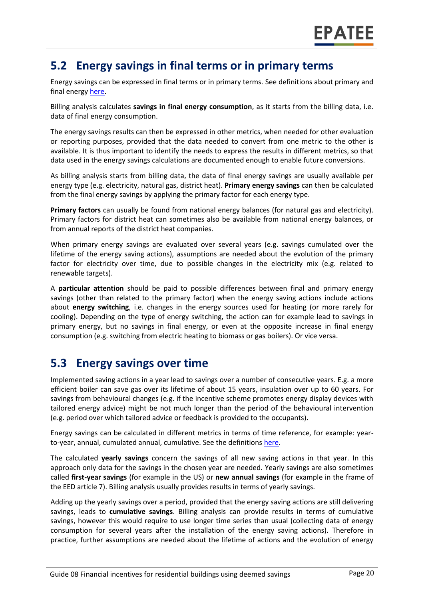#### **5.2 Energy savings in final terms or in primary terms**

Energy savings can be expressed in final terms or in primary terms. See definitions about primary and final energy [here.](https://www.epatee-toolbox.eu/wp-content/uploads/2018/10/Definitions-and-typologies-related-to-energy-savings-evaluation.pdf)

Billing analysis calculates **savings in final energy consumption**, as it starts from the billing data, i.e. data of final energy consumption.

The energy savings results can then be expressed in other metrics, when needed for other evaluation or reporting purposes, provided that the data needed to convert from one metric to the other is available. It is thus important to identify the needs to express the results in different metrics, so that data used in the energy savings calculations are documented enough to enable future conversions.

As billing analysis starts from billing data, the data of final energy savings are usually available per energy type (e.g. electricity, natural gas, district heat). **Primary energy savings** can then be calculated from the final energy savings by applying the primary factor for each energy type.

**Primary factors** can usually be found from national energy balances (for natural gas and electricity). Primary factors for district heat can sometimes also be available from national energy balances, or from annual reports of the district heat companies.

When primary energy savings are evaluated over several years (e.g. savings cumulated over the lifetime of the energy saving actions), assumptions are needed about the evolution of the primary factor for electricity over time, due to possible changes in the electricity mix (e.g. related to renewable targets).

A **particular attention** should be paid to possible differences between final and primary energy savings (other than related to the primary factor) when the energy saving actions include actions about **energy switching**, i.e. changes in the energy sources used for heating (or more rarely for cooling). Depending on the type of energy switching, the action can for example lead to savings in primary energy, but no savings in final energy, or even at the opposite increase in final energy consumption (e.g. switching from electric heating to biomass or gas boilers). Or vice versa.

#### **5.3 Energy savings over time**

Implemented saving actions in a year lead to savings over a number of consecutive years. E.g. a more efficient boiler can save gas over its lifetime of about 15 years, insulation over up to 60 years. For savings from behavioural changes (e.g. if the incentive scheme promotes energy display devices with tailored energy advice) might be not much longer than the period of the behavioural intervention (e.g. period over which tailored advice or feedback is provided to the occupants).

Energy savings can be calculated in different metrics in terms of time reference, for example: yearto-year, annual, cumulated annual, cumulative. See the definition[s here.](https://www.epatee-toolbox.eu/wp-content/uploads/2018/10/Definitions-and-typologies-related-to-energy-savings-evaluation.pdf)

The calculated **yearly savings** concern the savings of all new saving actions in that year. In this approach only data for the savings in the chosen year are needed. Yearly savings are also sometimes called **first-year savings** (for example in the US) or **new annual savings** (for example in the frame of the EED article 7). Billing analysis usually provides results in terms of yearly savings.

Adding up the yearly savings over a period, provided that the energy saving actions are still delivering savings, leads to **cumulative savings**. Billing analysis can provide results in terms of cumulative savings, however this would require to use longer time series than usual (collecting data of energy consumption for several years after the installation of the energy saving actions). Therefore in practice, further assumptions are needed about the lifetime of actions and the evolution of energy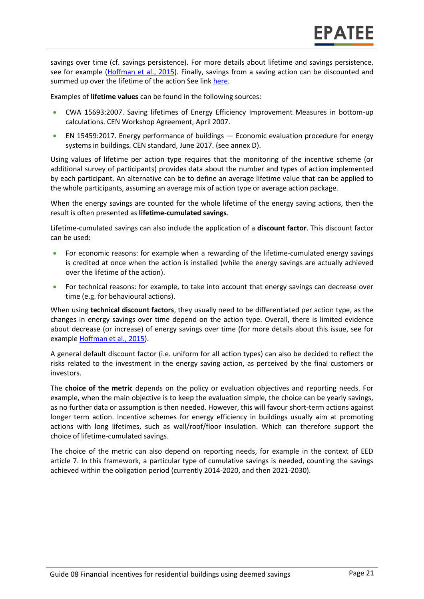savings over time (cf. savings persistence). For more details about lifetime and savings persistence, see for example [\(Hoffman et al., 2015\)](https://emp.lbl.gov/publications/energy-savings-lifetimes-and). Finally, savings from a saving action can be discounted and summed up over the lifetime of the action See link [here.](https://www.epatee-toolbox.eu/wp-content/uploads/2018/10/Definitions-and-typologies-related-to-energy-savings-evaluation.pdf)

Examples of **lifetime values** can be found in the following sources:

- CWA 15693:2007. Saving lifetimes of Energy Efficiency Improvement Measures in bottom-up calculations. CEN Workshop Agreement, April 2007.
- EN 15459:2017. Energy performance of buildings Economic evaluation procedure for energy systems in buildings. CEN standard, June 2017. (see annex D).

Using values of lifetime per action type requires that the monitoring of the incentive scheme (or additional survey of participants) provides data about the number and types of action implemented by each participant. An alternative can be to define an average lifetime value that can be applied to the whole participants, assuming an average mix of action type or average action package.

When the energy savings are counted for the whole lifetime of the energy saving actions, then the result is often presented as **lifetime-cumulated savings**.

Lifetime-cumulated savings can also include the application of a **discount factor**. This discount factor can be used:

- For economic reasons: for example when a rewarding of the lifetime-cumulated energy savings is credited at once when the action is installed (while the energy savings are actually achieved over the lifetime of the action).
- For technical reasons: for example, to take into account that energy savings can decrease over time (e.g. for behavioural actions).

When using **technical discount factors**, they usually need to be differentiated per action type, as the changes in energy savings over time depend on the action type. Overall, there is limited evidence about decrease (or increase) of energy savings over time (for more details about this issue, see for exampl[e Hoffman et al., 2015\)](https://emp.lbl.gov/publications/energy-savings-lifetimes-and).

A general default discount factor (i.e. uniform for all action types) can also be decided to reflect the risks related to the investment in the energy saving action, as perceived by the final customers or investors.

The **choice of the metric** depends on the policy or evaluation objectives and reporting needs. For example, when the main objective is to keep the evaluation simple, the choice can be yearly savings, as no further data or assumption is then needed. However, this will favour short-term actions against longer term action. Incentive schemes for energy efficiency in buildings usually aim at promoting actions with long lifetimes, such as wall/roof/floor insulation. Which can therefore support the choice of lifetime-cumulated savings.

The choice of the metric can also depend on reporting needs, for example in the context of EED article 7. In this framework, a particular type of cumulative savings is needed, counting the savings achieved within the obligation period (currently 2014-2020, and then 2021-2030).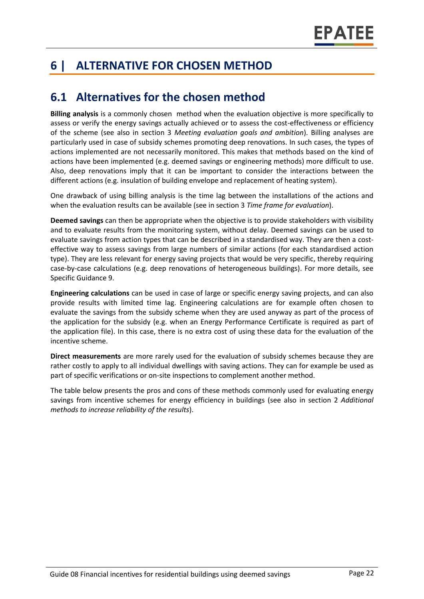# **6 | ALTERNATIVE FOR CHOSEN METHOD**

### **6.1 Alternatives for the chosen method**

**Billing analysis** is a commonly chosen method when the evaluation objective is more specifically to assess or verify the energy savings actually achieved or to assess the cost-effectiveness or efficiency of the scheme (see also in section 3 *Meeting evaluation goals and ambition*). Billing analyses are particularly used in case of subsidy schemes promoting deep renovations. In such cases, the types of actions implemented are not necessarily monitored. This makes that methods based on the kind of actions have been implemented (e.g. deemed savings or engineering methods) more difficult to use. Also, deep renovations imply that it can be important to consider the interactions between the different actions (e.g. insulation of building envelope and replacement of heating system).

One drawback of using billing analysis is the time lag between the installations of the actions and when the evaluation results can be available (see in section 3 *Time frame for evaluation*).

**Deemed savings** can then be appropriate when the objective is to provide stakeholders with visibility and to evaluate results from the monitoring system, without delay. Deemed savings can be used to evaluate savings from action types that can be described in a standardised way. They are then a costeffective way to assess savings from large numbers of similar actions (for each standardised action type). They are less relevant for energy saving projects that would be very specific, thereby requiring case-by-case calculations (e.g. deep renovations of heterogeneous buildings). For more details, see Specific Guidance 9.

**Engineering calculations** can be used in case of large or specific energy saving projects, and can also provide results with limited time lag. Engineering calculations are for example often chosen to evaluate the savings from the subsidy scheme when they are used anyway as part of the process of the application for the subsidy (e.g. when an Energy Performance Certificate is required as part of the application file). In this case, there is no extra cost of using these data for the evaluation of the incentive scheme.

**Direct measurements** are more rarely used for the evaluation of subsidy schemes because they are rather costly to apply to all individual dwellings with saving actions. They can for example be used as part of specific verifications or on-site inspections to complement another method.

The table below presents the pros and cons of these methods commonly used for evaluating energy savings from incentive schemes for energy efficiency in buildings (see also in section 2 *Additional methods to increase reliability of the results*).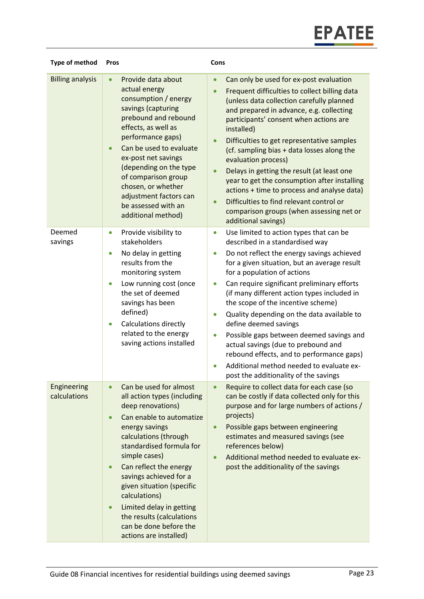| <b>Type of method</b>       | Pros                                                                                                                                                                                                                                                                                                                                                                                                                                                 | Cons                                                                                                                                                                                                                                                                                                                                                                                                                                                                                                                                                                                                                                                                                                     |
|-----------------------------|------------------------------------------------------------------------------------------------------------------------------------------------------------------------------------------------------------------------------------------------------------------------------------------------------------------------------------------------------------------------------------------------------------------------------------------------------|----------------------------------------------------------------------------------------------------------------------------------------------------------------------------------------------------------------------------------------------------------------------------------------------------------------------------------------------------------------------------------------------------------------------------------------------------------------------------------------------------------------------------------------------------------------------------------------------------------------------------------------------------------------------------------------------------------|
| <b>Billing analysis</b>     | Provide data about<br>$\bullet$<br>actual energy<br>consumption / energy<br>savings (capturing<br>prebound and rebound<br>effects, as well as<br>performance gaps)<br>Can be used to evaluate<br>$\bullet$<br>ex-post net savings<br>(depending on the type<br>of comparison group<br>chosen, or whether<br>adjustment factors can<br>be assessed with an<br>additional method)                                                                      | Can only be used for ex-post evaluation<br>$\bullet$<br>Frequent difficulties to collect billing data<br>(unless data collection carefully planned<br>and prepared in advance, e.g. collecting<br>participants' consent when actions are<br>installed)<br>Difficulties to get representative samples<br>$\bullet$<br>(cf. sampling bias + data losses along the<br>evaluation process)<br>Delays in getting the result (at least one<br>year to get the consumption after installing<br>actions + time to process and analyse data)<br>Difficulties to find relevant control or<br>comparison groups (when assessing net or<br>additional savings)                                                       |
| Deemed<br>savings           | Provide visibility to<br>$\bullet$<br>stakeholders<br>No delay in getting<br>$\bullet$<br>results from the<br>monitoring system<br>Low running cost (once<br>$\bullet$<br>the set of deemed<br>savings has been<br>defined)<br>Calculations directly<br>$\bullet$<br>related to the energy<br>saving actions installed                                                                                                                               | Use limited to action types that can be<br>$\bullet$<br>described in a standardised way<br>Do not reflect the energy savings achieved<br>for a given situation, but an average result<br>for a population of actions<br>Can require significant preliminary efforts<br>$\bullet$<br>(if many different action types included in<br>the scope of the incentive scheme)<br>Quality depending on the data available to<br>$\bullet$<br>define deemed savings<br>Possible gaps between deemed savings and<br>$\bullet$<br>actual savings (due to prebound and<br>rebound effects, and to performance gaps)<br>Additional method needed to evaluate ex-<br>$\bullet$<br>post the additionality of the savings |
| Engineering<br>calculations | Can be used for almost<br>all action types (including<br>deep renovations)<br>Can enable to automatize<br>$\bullet$<br>energy savings<br>calculations (through<br>standardised formula for<br>simple cases)<br>Can reflect the energy<br>$\bullet$<br>savings achieved for a<br>given situation (specific<br>calculations)<br>Limited delay in getting<br>$\bullet$<br>the results (calculations<br>can be done before the<br>actions are installed) | Require to collect data for each case (so<br>can be costly if data collected only for this<br>purpose and for large numbers of actions /<br>projects)<br>Possible gaps between engineering<br>$\bullet$<br>estimates and measured savings (see<br>references below)<br>Additional method needed to evaluate ex-<br>$\bullet$<br>post the additionality of the savings                                                                                                                                                                                                                                                                                                                                    |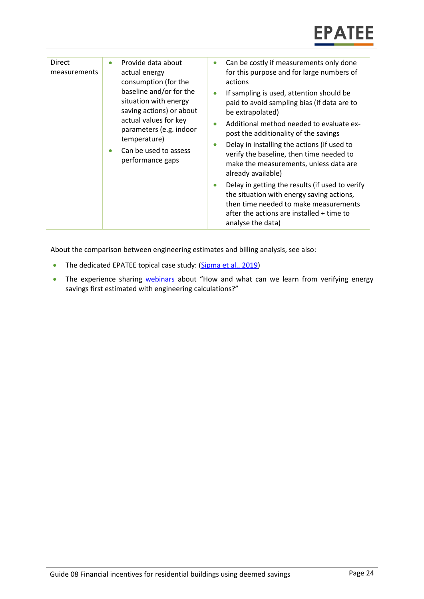| <b>Direct</b><br>measurements | Provide data about<br>$\bullet$<br>actual energy<br>consumption (for the<br>baseline and/or for the<br>situation with energy<br>saving actions) or about<br>actual values for key<br>parameters (e.g. indoor<br>temperature)<br>Can be used to assess<br>۰<br>performance gaps | Can be costly if measurements only done<br>$\bullet$<br>for this purpose and for large numbers of<br>actions<br>If sampling is used, attention should be<br>$\bullet$<br>paid to avoid sampling bias (if data are to<br>be extrapolated)<br>Additional method needed to evaluate ex-<br>٠<br>post the additionality of the savings<br>Delay in installing the actions (if used to<br>$\bullet$<br>verify the baseline, then time needed to<br>make the measurements, unless data are<br>already available)<br>Delay in getting the results (if used to verify<br>٠<br>the situation with energy saving actions,<br>then time needed to make measurements<br>after the actions are installed + time to<br>analyse the data) |
|-------------------------------|--------------------------------------------------------------------------------------------------------------------------------------------------------------------------------------------------------------------------------------------------------------------------------|----------------------------------------------------------------------------------------------------------------------------------------------------------------------------------------------------------------------------------------------------------------------------------------------------------------------------------------------------------------------------------------------------------------------------------------------------------------------------------------------------------------------------------------------------------------------------------------------------------------------------------------------------------------------------------------------------------------------------|
|-------------------------------|--------------------------------------------------------------------------------------------------------------------------------------------------------------------------------------------------------------------------------------------------------------------------------|----------------------------------------------------------------------------------------------------------------------------------------------------------------------------------------------------------------------------------------------------------------------------------------------------------------------------------------------------------------------------------------------------------------------------------------------------------------------------------------------------------------------------------------------------------------------------------------------------------------------------------------------------------------------------------------------------------------------------|

About the comparison between engineering estimates and billing analysis, see also:

- The dedicated EPATEE topical case study: [\(Sipma et al., 2019\)](https://www.epatee-toolbox.eu/evaluation-principles-and-methods/epatee-topical-case-study-comparing-estimated-versus-measured-energy-savings/)
- The experience sharing [webinars](https://epatee.eu/events-webinars) about "How and what can we learn from verifying energy savings first estimated with engineering calculations?"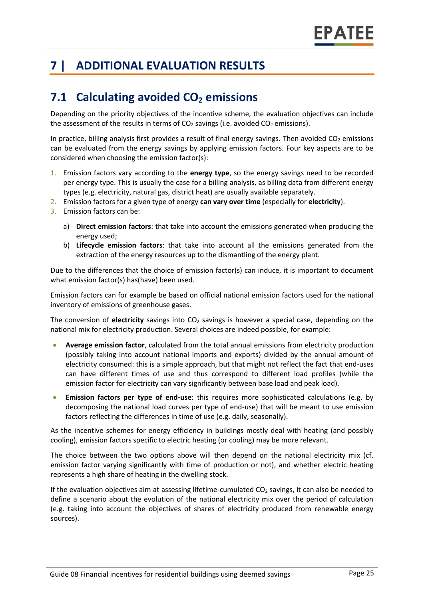# **7 | ADDITIONAL EVALUATION RESULTS**

## **7.1 Calculating avoided CO<sup>2</sup> emissions**

Depending on the priority objectives of the incentive scheme, the evaluation objectives can include the assessment of the results in terms of  $CO<sub>2</sub>$  savings (i.e. avoided  $CO<sub>2</sub>$  emissions).

In practice, billing analysis first provides a result of final energy savings. Then avoided  $CO<sub>2</sub>$  emissions can be evaluated from the energy savings by applying emission factors. Four key aspects are to be considered when choosing the emission factor(s):

- 1. Emission factors vary according to the **energy type**, so the energy savings need to be recorded per energy type. This is usually the case for a billing analysis, as billing data from different energy types (e.g. electricity, natural gas, district heat) are usually available separately.
- 2. Emission factors for a given type of energy **can vary over time** (especially for **electricity**).
- 3. Emission factors can be:
	- a) **Direct emission factors**: that take into account the emissions generated when producing the energy used;
	- b) **Lifecycle emission factors**: that take into account all the emissions generated from the extraction of the energy resources up to the dismantling of the energy plant.

Due to the differences that the choice of emission factor(s) can induce, it is important to document what emission factor(s) has(have) been used.

Emission factors can for example be based on official national emission factors used for the national inventory of emissions of greenhouse gases.

The conversion of **electricity** savings into CO<sub>2</sub> savings is however a special case, depending on the national mix for electricity production. Several choices are indeed possible, for example:

- **Average emission factor**, calculated from the total annual emissions from electricity production (possibly taking into account national imports and exports) divided by the annual amount of electricity consumed: this is a simple approach, but that might not reflect the fact that end-uses can have different times of use and thus correspond to different load profiles (while the emission factor for electricity can vary significantly between base load and peak load).
- **Emission factors per type of end-use**: this requires more sophisticated calculations (e.g. by decomposing the national load curves per type of end-use) that will be meant to use emission factors reflecting the differences in time of use (e.g. daily, seasonally).

As the incentive schemes for energy efficiency in buildings mostly deal with heating (and possibly cooling), emission factors specific to electric heating (or cooling) may be more relevant.

The choice between the two options above will then depend on the national electricity mix (cf. emission factor varying significantly with time of production or not), and whether electric heating represents a high share of heating in the dwelling stock.

If the evaluation objectives aim at assessing lifetime-cumulated  $CO<sub>2</sub>$  savings, it can also be needed to define a scenario about the evolution of the national electricity mix over the period of calculation (e.g. taking into account the objectives of shares of electricity produced from renewable energy sources).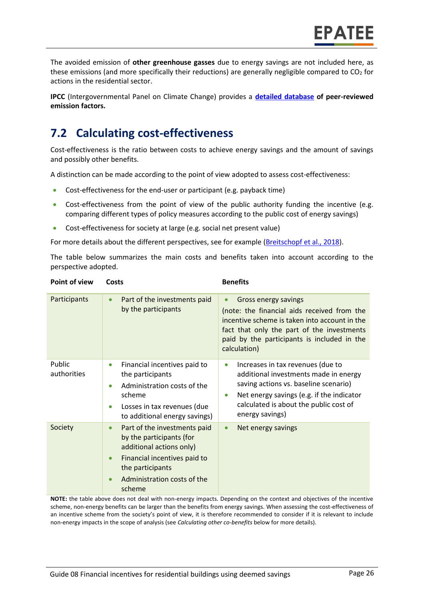The avoided emission of **other greenhouse gasses** due to energy savings are not included here, as these emissions (and more specifically their reductions) are generally negligible compared to  $CO<sub>2</sub>$  for actions in the residential sector.

**IPCC** (Intergovernmental Panel on Climate Change) provides a **[detailed database](https://www.ipcc-nggip.iges.or.jp/EFDB/main.php) of peer-reviewed emission factors.** 

### **7.2 Calculating cost-effectiveness**

Cost-effectiveness is the ratio between costs to achieve energy savings and the amount of savings and possibly other benefits.

A distinction can be made according to the point of view adopted to assess cost-effectiveness:

- Cost-effectiveness for the end-user or participant (e.g. payback time)
- Cost-effectiveness from the point of view of the public authority funding the incentive (e.g. comparing different types of policy measures according to the public cost of energy savings)
- Cost-effectiveness for society at large (e.g. social net present value)

For more details about the different perspectives, see for example [\(Breitschopf](https://epatee.eu/system/tdf/epatee_report_on_the_knowledge_base.pdf?file=1&type=node&id=29&force=1) et al., 2018).

The table below summarizes the main costs and benefits taken into account according to the perspective adopted.

| Point of view         | Costs                                                                                                                                                                                                       | <b>Benefits</b>                                                                                                                                                                                                                                         |
|-----------------------|-------------------------------------------------------------------------------------------------------------------------------------------------------------------------------------------------------------|---------------------------------------------------------------------------------------------------------------------------------------------------------------------------------------------------------------------------------------------------------|
| Participants          | Part of the investments paid<br>$\bullet$<br>by the participants                                                                                                                                            | Gross energy savings<br>$\bullet$<br>(note: the financial aids received from the<br>incentive scheme is taken into account in the<br>fact that only the part of the investments<br>paid by the participants is included in the<br>calculation)          |
| Public<br>authorities | Financial incentives paid to<br>$\bullet$<br>the participants<br>Administration costs of the<br>$\bullet$<br>scheme<br>Losses in tax revenues (due<br>$\bullet$<br>to additional energy savings)            | Increases in tax revenues (due to<br>$\bullet$<br>additional investments made in energy<br>saving actions vs. baseline scenario)<br>Net energy savings (e.g. if the indicator<br>$\bullet$<br>calculated is about the public cost of<br>energy savings) |
| Society               | Part of the investments paid<br>$\bullet$<br>by the participants (for<br>additional actions only)<br>Financial incentives paid to<br>$\bullet$<br>the participants<br>Administration costs of the<br>scheme | Net energy savings<br>$\bullet$                                                                                                                                                                                                                         |

**NOTE:** the table above does not deal with non-energy impacts. Depending on the context and objectives of the incentive scheme, non-energy benefits can be larger than the benefits from energy savings. When assessing the cost-effectiveness of an incentive scheme from the society's point of view, it is therefore recommended to consider if it is relevant to include non-energy impacts in the scope of analysis (see *Calculating other co-benefits* below for more details).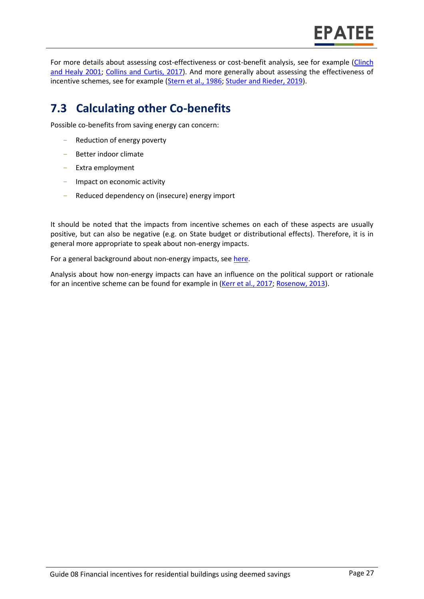For more details about assessing cost-effectiveness or cost-benefit analysis, see for example [\(Clinch](https://pdfs.semanticscholar.org/0c5a/62027a92577ef72238b72b9bbdbeca929cb7.pdf)  and [Healy 2001;](https://pdfs.semanticscholar.org/0c5a/62027a92577ef72238b72b9bbdbeca929cb7.pdf) [Collins and Curtis, 2017\)](https://www.econstor.eu/bitstream/10419/174275/1/WP542.pdf). And more generally about assessing the effectiveness of incentive schemes, see for example [\(Stern et al., 1986;](https://journals.sagepub.com/doi/abs/10.1177/0193841X8601000201) Studer and [Rieder, 2019\)](https://www.mdpi.com/2225-1154/7/2/28/pdf).

# **7.3 Calculating other Co-benefits**

Possible co-benefits from saving energy can concern:

- Reduction of energy poverty
- Better indoor climate
- Extra employment
- Impact on economic activity
- Reduced dependency on (insecure) energy import

It should be noted that the impacts from incentive schemes on each of these aspects are usually positive, but can also be negative (e.g. on State budget or distributional effects). Therefore, it is in general more appropriate to speak about non-energy impacts.

For a general background about non-energy impacts, see [here.](https://www.epatee-toolbox.eu/evaluation-principles-and-methods/general-principles/evaluating-impacts-other-than-energy-savings/)

Analysis about how non-energy impacts can have an influence on the political support or rationale for an incentive scheme can be found for example in [\(Kerr et al.,](https://www.sciencedirect.com/science/article/pii/S0301421517302069) 2017; [Rosenow,](http://de.janrosenow.com/uploads/4/7/1/2/4712328/rosenow_2013_the_politics_of_the_german_co2_building_rehabilitation_programme.pdf) 2013).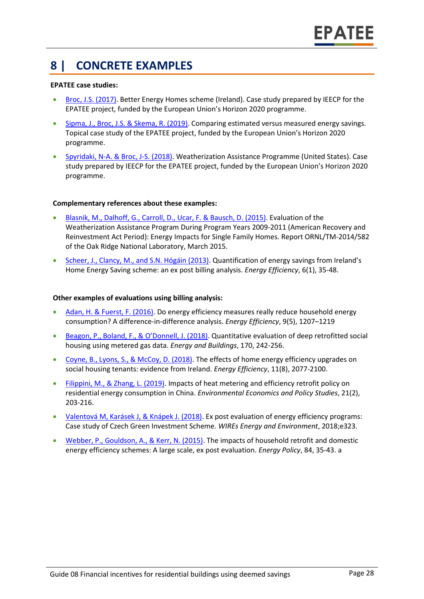### **8 | CONCRETE EXAMPLES**

#### **EPATEE case studies:**

- [Broc, J.S. \(2017\).](https://www.epatee-toolbox.eu/wp-content/uploads/2018/10/epatee_case_study_ireland_better_energy_homes_ok.pdf) Better Energy Homes scheme (Ireland). Case study prepared by IEECP for the EPATEE project, funded by the European Union's Horizon 2020 programme.
- Sipma, J., Broc, J.S. [& Skema, R. \(2019\).](https://www.epatee-toolbox.eu/evaluation-principles-and-methods/epatee-topical-case-study-comparing-estimated-versus-measured-energy-savings/) Comparing estimated versus measured energy savings. Topical case study of the EPATEE project, funded by the European Union's Horizon 2020 programme.
- [Spyridaki, N-A. &](https://www.epatee-toolbox.eu/wp-content/uploads/2018/10/epatee_case_study_us_weatherization_assistance_program_ok.pdf) Broc, J-S. (2018). Weatherization Assistance Programme (United States). Case study prepared by IEECP for the EPATEE project, funded by the European Union's Horizon 2020 programme.

#### **Complementary references about these examples:**

- [Blasnik, M., Dalhoff, G., Carroll, D., Ucar, F. & Bausch, D. \(2015\).](https://weatherization.ornl.gov/wp-content/uploads/pdf/WAPRecoveryActEvalFinalReports/ORNL_TM-2014_582.pdf) Evaluation of the Weatherization Assistance Program During Program Years 2009-2011 (American Recovery and Reinvestment Act Period): Energy Impacts for Single Family Homes. Report ORNL/TM-2014/582 of the Oak Ridge National Laboratory, March 2015.
- [Scheer, J., Clancy, M., and S.N. Hógáin \(2013\)](https://link.springer.com/article/10.1007/s12053-012-9164-8). Quantification of energy savings from Ireland's Home Energy Saving scheme: an ex post billing analysis. *Energy Efficiency*, 6(1), 35-48.

#### **Other examples of evaluations using billing analysis:**

- [Adan, H. & Fuerst, F. \(2016\).](http://link.springer.com/article/10.1007/s12053-015-9418-3) Do energy efficiency measures really reduce household energy consumption? A difference-in-difference analysis. *Energy Efficiency*, 9(5), 1207–1219
- [Beagon, P., Boland, F., & O'Donnell, J. \(2018\)](https://www.sciencedirect.com/science/article/pii/S0378778817339592). Quantitative evaluation of deep retrofitted social housing using metered gas data. *Energy and Buildings*, 170, 242-256.
- [Coyne, B., Lyons, S., & McCoy, D. \(2018\).](https://link.springer.com/article/10.1007/s12053-018-9688-7) The effects of home energy efficiency upgrades on social housing tenants: evidence from Ireland. *Energy Efficiency*, 11(8), 2077-2100.
- [Filippini, M., & Zhang, L. \(2019\).](https://www.researchgate.net/profile/Lin_Zhang11/publication/328149001_Impacts_of_heat_metering_and_efficiency_retrofit_policy_on_residential_energy_consumption_in_China/links/5bbb95ae92851c7fde341687/Impacts-of-heat-metering-and-efficiency-retrofit-policy-on-residential-energy-consumption-in-China.pdf) Impacts of heat metering and efficiency retrofit policy on residential energy consumption in China. *Environmental Economics and Policy Studies*, 21(2), 203-216.
- [Valentová M, Karásek J, & Knápek J. \(2018\).](https://doi.org/10.1002/wene.323) Ex post evaluation of energy efficiency programs: Case study of Czech Green Investment Scheme. *WIREs Energy and Environment*, 2018;e323.
- [Webber, P., Gouldson, A., & Kerr, N. \(2015\).](http://dx.doi.org/10.1016/j.enpol.2015.04.020) The impacts of household retrofit and domestic energy efficiency schemes: A large scale, ex post evaluation. *Energy Policy*, 84, 35-43. a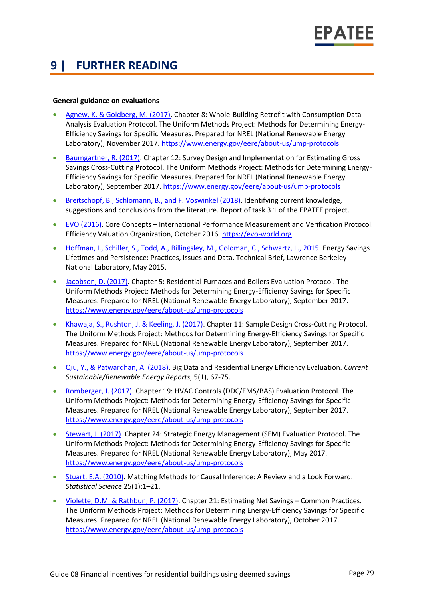### **9 | FURTHER READING**

#### **General guidance on evaluations**

- [Agnew, K. & Goldberg, M. \(2017\).](https://www.nrel.gov/docs/fy17osti/68564.pdf) Chapter 8: Whole-Building Retrofit with Consumption Data Analysis Evaluation Protocol. The Uniform Methods Project: Methods for Determining Energy-Efficiency Savings for Specific Measures. Prepared for NREL (National Renewable Energy Laboratory), November 2017.<https://www.energy.gov/eere/about-us/ump-protocols>
- [Baumgartner, R. \(2017\).](http://www.nrel.gov/docs/fy17osti/68568.pdf) Chapter 12: Survey Design and Implementation for Estimating Gross Savings Cross-Cutting Protocol. The Uniform Methods Project: Methods for Determining Energy-Efficiency Savings for Specific Measures. Prepared for NREL (National Renewable Energy Laboratory), September 2017.<https://www.energy.gov/eere/about-us/ump-protocols>
- [Breitschopf, B., Schlomann, B., and F. Voswinkel \(2018\).](https://epatee.eu/system/tdf/epatee_report_on_the_knowledge_base.pdf?file=1&type=node&id=29&force=1) Identifying current knowledge, suggestions and conclusions from the literature. Report of task 3.1 of the EPATEE project.
- [EVO \(2016\).](https://evo-world.org/en/products-services-mainmenu-en/protocols/ipmvp) Core Concepts International Performance Measurement and Verification Protocol. Efficiency Valuation Organization, October 2016[. https://evo-world.org](https://evo-world.org/)
- [Hoffman, I., Schiller, S., Todd, A., Billingsley, M., Goldman, C., Schwartz, L., 2015.](https://emp.lbl.gov/publications/energy-savings-lifetimes-and) Energy Savings Lifetimes and Persistence: Practices, Issues and Data. Technical Brief, Lawrence Berkeley National Laboratory, May 2015.
- [Jacobson, D. \(2017\).](https://www.nrel.gov/docs/fy17osti/68561.pdf) Chapter 5: Residential Furnaces and Boilers Evaluation Protocol. The Uniform Methods Project: Methods for Determining Energy-Efficiency Savings for Specific Measures. Prepared for NREL (National Renewable Energy Laboratory), September 2017. <https://www.energy.gov/eere/about-us/ump-protocols>
- [Khawaja, S., Rushton, J. & Keeling, J. \(2017\).](https://www.nrel.gov/docs/fy17osti/68567.pdf) Chapter 11: Sample Design Cross-Cutting Protocol. The Uniform Methods Project: Methods for Determining Energy-Efficiency Savings for Specific Measures. Prepared for NREL (National Renewable Energy Laboratory), September 2017. <https://www.energy.gov/eere/about-us/ump-protocols>
- [Qiu, Y., & Patwardhan, A. \(2018\).](https://par.nsf.gov/servlets/purl/10083634) Big Data and Residential Energy Efficiency Evaluation. *Current Sustainable/Renewable Energy Reports*, 5(1), 67-75.
- [Romberger, J. \(2017\).](https://www.nrel.gov/docs/fy17osti/68575.pdf) Chapter 19: HVAC Controls (DDC/EMS/BAS) Evaluation Protocol. The Uniform Methods Project: Methods for Determining Energy-Efficiency Savings for Specific Measures. Prepared for NREL (National Renewable Energy Laboratory), September 2017. <https://www.energy.gov/eere/about-us/ump-protocols>
- [Stewart, J. \(2017\).](https://www.nrel.gov/docs/fy17osti/68316.pdf) Chapter 24: Strategic Energy Management (SEM) Evaluation Protocol. The Uniform Methods Project: Methods for Determining Energy-Efficiency Savings for Specific Measures. Prepared for NREL (National Renewable Energy Laboratory), May 2017. <https://www.energy.gov/eere/about-us/ump-protocols>
- [Stuart, E.A. \(2010\).](https://www.ncbi.nlm.nih.gov/pmc/articles/PMC2943670/) Matching Methods for Causal Inference: A Review and a Look Forward. *Statistical Science* 25(1):1–21.
- [Violette, D.M. & Rathbun, P. \(2017\).](https://www.nrel.gov/docs/fy17osti/68578.pdf) Chapter 21: Estimating Net Savings Common Practices. The Uniform Methods Project: Methods for Determining Energy-Efficiency Savings for Specific Measures. Prepared for NREL (National Renewable Energy Laboratory), October 2017. <https://www.energy.gov/eere/about-us/ump-protocols>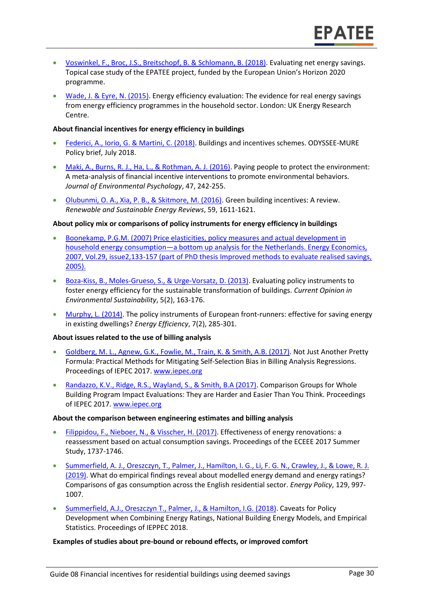- [Voswinkel, F., Broc, J.S., Breitschopf, B.](https://www.epatee-toolbox.eu/?page_id=416) & Schlomann, B. (2018). Evaluating net energy savings. Topical case study of the EPATEE project, funded by the European Union's Horizon 2020 programme.
- [Wade, J. & Eyre, N. \(2015\).](http://www.ukerc.ac.uk/programmes/technology-and-policy-assessment/energy-efficiency-evaluation.html) Energy efficiency evaluation: The evidence for real energy savings from energy efficiency programmes in the household sector. London: UK Energy Research Centre.

#### **About financial incentives for energy efficiency in buildings**

- [Federici, A., Iorio, G. & Martini, C. \(2018\).](http://www.odyssee-mure.eu/publications/policy-brief/increasing-building-energy-efficiency-incentive-schemes.pdf) Buildings and incentives schemes. ODYSSEE-MURE Policy brief, July 2018.
- [Maki, A., Burns, R. J., Ha, L., & Rothman, A. J. \(2016\).](http://www.alexmaki.com/uploads/5/1/9/7/5197184/paying_people_to_protect_-_maki_et_al._-_accepted_version.pdf) Paying people to protect the environment: A meta-analysis of financial incentive interventions to promote environmental behaviors. *Journal of Environmental Psychology*, 47, 242-255.
- [Olubunmi, O. A., Xia, P. B., & Skitmore, M. \(2016\).](http://eprints.qut.edu.au/92701/3/92701.pdf) Green building incentives: A review. *Renewable and Sustainable Energy Reviews*, 59, 1611-1621.

#### **About policy mix or comparisons of policy instruments for energy efficiency in buildings**

- Boonekamp, P.G.M. (2007) Price elasticities, policy measures and actual development in household energy consumption—a bottom up analysis for the Netherlands. Energy Economics, 2007, Vol.29, issue2,133-157 (part of PhD thesis Improved methods to evaluate realised savings, 2005).
- [Boza-Kiss, B., Moles-Grueso, S., & Urge-Vorsatz, D. \(2013\).](https://www.sciencedirect.com/science/article/pii/S1877343513000341) Evaluating policy instruments to foster energy efficiency for the sustainable transformation of buildings. *Current Opinion in Environmental Sustainability*, 5(2), 163-176.
- [Murphy, L. \(2014\).](https://www.researchgate.net/profile/Lorraine_Murphy2/publication/263610948_The_policy_instruments_of_European_front-runners_Effective_for_saving_energy_in_existing_dwellings/links/56ddc59908aed4e2a99c5cdf.pdf) The policy instruments of European front-runners: effective for saving energy in existing dwellings? *Energy Efficiency*, 7(2), 285-301.

#### **About issues related to the use of billing analysis**

- [Goldberg, M. L., Agnew, G.K., Fowlie, M., Train, K. & Smith, A.B.](https://www.iepec.org/wp-content/uploads/2018/02/2017paper_goldberg_agnew_fowlie_train_smith-1.pdf) (2017). Not Just Another Pretty Formula: Practical Methods for Mitigating Self-Selection Bias in Billing Analysis Regressions. Proceedings of IEPEC 2017. [www.iepec.org](http://www.iepec.org/)
- [Randazzo, K.V., Ridge, R.S., Wayland, S., & Smith, B.A \(2017\).](https://www.iepec.org/wp-content/uploads/2018/04/2017paper_randazzo_ridge_wayland_smith.pdf) Comparison Groups for Whole Building Program Impact Evaluations: They are Harder and Easier Than You Think. Proceedings of IEPEC 2017. [www.iepec.org](http://www.iepec.org/)

#### **About the comparison between engineering estimates and billing analysis**

- [Filippidou, F., Nieboer, N., & Visscher,](http://proceedings.eceee.org/visabstrakt.php?event=7&doc=8-117-17) H. (2017). Effectiveness of energy renovations: a reassessment based on actual consumption savings. Proceedings of the ECEEE 2017 Summer Study, 1737-1746.
- [Summerfield, A. J., Oreszczyn, T., Palmer, J., Hamilton, I. G., Li, F. G. N., Crawley, J., & Lowe, R. J.](https://www.sciencedirect.com/science/article/pii/S0301421519301168)  [\(2019\).](https://www.sciencedirect.com/science/article/pii/S0301421519301168) What do empirical findings reveal about modelled energy demand and energy ratings? Comparisons of gas consumption across the English residential sector. *Energy Policy*, 129, 997- 1007.
- [Summerfield, A.J., Oreszczyn T., Palmer, J., &](https://energy-evaluation.org/wp-content/uploads/2019/06/2018-summerfield-paper-vienna.pdf) Hamilton, I.G. (2018). Caveats for Policy Development when Combining Energy Ratings, National Building Energy Models, and Empirical Statistics. Proceedings of IEPPEC 2018.

#### **Examples of studies about pre-bound or rebound effects, or improved comfort**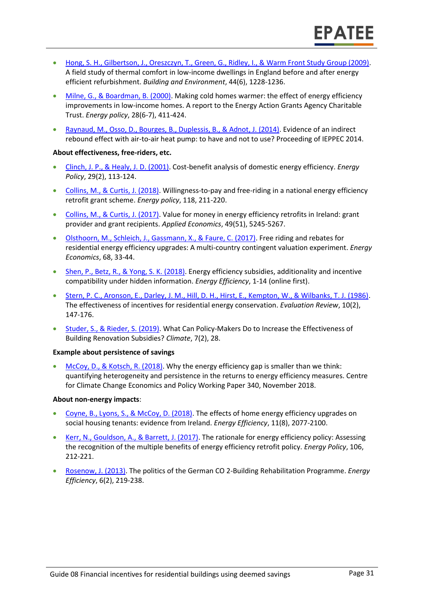- [Hong, S. H., Gilbertson, J., Oreszczyn, T., Green, G., Ridley, I., & Warm Front Study Group \(2009\).](http://discovery.ucl.ac.uk/15210/1/15210.pdf) A field study of thermal comfort in low-income dwellings in England before and after energy efficient refurbishment. *Building and Environment*, 44(6), 1228-1236.
- [Milne, G., & Boardman, B. \(2000\).](https://www.sciencedirect.com/science/article/pii/S0301421500000197) Making cold homes warmer: the effect of energy efficiency improvements in low-income homes. A report to the Energy Action Grants Agency Charitable Trust. *Energy policy*, 28(6-7), 411-424.
- [Raynaud, M., Osso, D., Bourges, B., Duplessis, B., & Adnot, J. \(2014\).](https://energy-evaluation.org/wp-content/uploads/2019/06/2014-berlin-maxime-raynaud.pdf) Evidence of an indirect rebound effect with air-to-air heat pump: to have and not to use? Proceeding of IEPPEC 2014.

#### **About effectiveness, free-riders, etc.**

- [Clinch, J. P., & Healy, J. D. \(2001\).](https://pdfs.semanticscholar.org/0c5a/62027a92577ef72238b72b9bbdbeca929cb7.pdf) Cost-benefit analysis of domestic energy efficiency. *Energy Policy*, 29(2), 113-124.
- [Collins, M., & Curtis, J. \(2018\).](https://www.sciencedirect.com/science/article/pii/S0301421518301897) Willingness-to-pay and free-riding in a national energy efficiency retrofit grant scheme. *Energy policy*, 118, 211-220.
- [Collins, M., & Curtis, J. \(2017\).](https://www.econstor.eu/bitstream/10419/174275/1/WP542.pdf) Value for money in energy efficiency retrofits in Ireland: grant provider and grant recipients. *Applied Economics*, 49(51), 5245-5267.
- [Olsthoorn, M., Schleich, J., Gassmann, X., & Faure, C. \(2017\).](https://www.econstor.eu/bitstream/10419/167585/1/89506796X.pdf) Free riding and rebates for residential energy efficiency upgrades: A multi-country contingent valuation experiment. *Energy Economics*, 68, 33-44.
- [Shen, P., Betz, R., & Yong, S. K. \(2018\).](https://link.springer.com/article/10.1007/s12053-018-9745-2) Energy efficiency subsidies, additionality and incentive compatibility under hidden information. *Energy Efficiency*, 1-14 (online first).
- [Stern, P. C., Aronson, E., Darley, J. M., Hill, D. H., Hirst, E., Kempton, W., & Wilbanks, T. J. \(1986\).](https://journals.sagepub.com/doi/abs/10.1177/0193841X8601000201) The effectiveness of incentives for residential energy conservation. *Evaluation Review*, 10(2), 147-176.
- [Studer, S., & Rieder, S. \(2019\).](https://www.mdpi.com/2225-1154/7/2/28/pdf) What Can Policy-Makers Do to Increase the Effectiveness of Building Renovation Subsidies? *Climate*, 7(2), 28.

#### **Example about persistence of savings**

• [McCoy, D., & Kotsch, R. \(2018\).](http://www.lse.ac.uk/GranthamInstitute/wp-content/uploads/2018/11/working-paper-306-McCoy-Kotsch.pdf) Why the energy efficiency gap is smaller than we think: quantifying heterogeneity and persistence in the returns to energy efficiency measures. Centre for Climate Change Economics and Policy Working Paper 340, November 2018.

#### **About non-energy impacts**:

- [Coyne, B., Lyons, S., & McCoy, D. \(2018\).](https://link.springer.com/article/10.1007/s12053-018-9688-7) The effects of home energy efficiency upgrades on social housing tenants: evidence from Ireland. *Energy Efficiency*, 11(8), 2077-2100.
- [Kerr, N., Gouldson, A., & Barrett, J. \(2017\).](https://www.sciencedirect.com/science/article/pii/S0301421517302069) The rationale for energy efficiency policy: Assessing the recognition of the multiple benefits of energy efficiency retrofit policy. *Energy Policy*, 106, 212-221.
- [Rosenow, J. \(2013\).](http://de.janrosenow.com/uploads/4/7/1/2/4712328/rosenow_2013_the_politics_of_the_german_co2_building_rehabilitation_programme.pdf) The politics of the German CO 2-Building Rehabilitation Programme. *Energy Efficiency*, 6(2), 219-238.